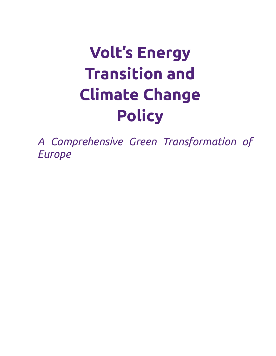# **Volt's Energy Transition and Climate Change Policy**

*A Comprehensive Green Transformation of Europe*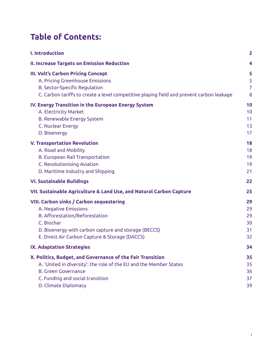### **Table of Contents:**

| <b>I. Introduction</b>                                                                   | $\overline{2}$ |
|------------------------------------------------------------------------------------------|----------------|
| <b>II. Increase Targets on Emission Reduction</b>                                        | 4              |
| <b>III. Volt's Carbon Pricing Concept</b>                                                | 5              |
| A. Pricing Greenhouse Emissions                                                          | 5              |
| <b>B. Sector-Specific Regulation</b>                                                     | $\overline{7}$ |
| C. Carbon tariffs to create a level competitive playing field and prevent carbon leakage | 8              |
| IV. Energy Transition in the European Energy System                                      | 10             |
| A. Electricity Market                                                                    | 10             |
| <b>B. Renewable Energy System</b>                                                        | 11             |
| C. Nuclear Energy                                                                        | 13             |
| D. Bioenergy                                                                             | 17             |
| <b>V. Transportation Revolution</b>                                                      | 18             |
| A. Road and Mobility                                                                     | 18             |
| <b>B. European Rail Transportation</b>                                                   | 19             |
| C. Revolutionising Aviation                                                              | 19             |
| D. Maritime Industry and Shipping                                                        | 21             |
| <b>VI. Sustainable Buildings</b>                                                         | 22             |
| VII. Sustainable Agriculture & Land Use, and Natural Carbon Capture                      | 25             |
| <b>VIII. Carbon sinks / Carbon sequestering</b>                                          | 29             |
| A. Negative Emissions                                                                    | 29             |
| B. Afforestation/Reforestation                                                           | 29             |
| C. Biochar                                                                               | 30             |
| D. Bioenergy with carbon capture and storage (BECCS)                                     | 31             |
| E. Direct Air Carbon Capture & Storage (DACCS)                                           | 32             |
| <b>IX. Adaptation Strategies</b>                                                         | 34             |
| X. Politics, Budget, and Governance of the Fair Transition                               | 35             |
| A. 'United in diversity': the role of the EU and the Member States                       | 35             |
| <b>B. Green Governance</b>                                                               | 36             |
| C. Funding and social transition                                                         | 37             |
| D. Climate Diplomacy                                                                     | 39             |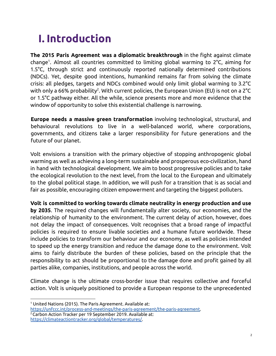# <span id="page-2-0"></span>**I. Introduction**

**The 2015 Paris Agreement was a diplomatic breakthrough** in the fight against climate change 1 . Almost all countries committed to limiting global warming to 2°C, aiming for 1.5°C, through strict and continuously reported nationally determined contributions (NDCs). Yet, despite good intentions, humankind remains far from solving the climate crisis: all pledges, targets and NDCs combined would only limit global warming to 3.2°C with only a 66% probability<sup>2</sup>. With current policies, the European Union (EU) is not on a 2°C or 1.5°C pathway either. All the while, science presents more and more evidence that the window of opportunity to solve this existential challenge is narrowing.

**Europe needs a massive green transformation** involving technological, structural, and behavioural revolutions to live in a well-balanced world, where corporations, governments, and citizens take a larger responsibility for future generations and the future of our planet.

Volt envisions a transition with the primary objective of stopping anthropogenic global warming as well as achieving a long-term sustainable and prosperous eco-civilization, hand in hand with technological development. We aim to boost progressive policies and to take the ecological revolution to the next level, from the local to the European and ultimately to the global political stage. In addition, we will push for a transition that is as social and fair as possible, encouraging citizen empowerment and targeting the biggest polluters.

**Volt is committed to working towards climate neutrality in energy production and use by 2035**. The required changes will fundamentally alter society, our economies, and the

relationship of humanity to the environment. The current delay of action, however, does not delay the impact of consequences. Volt recognises that a broad range of impactful policies is required to ensure livable societies and a humane future worldwide. These include policies to transform our behaviour and our economy, as well as policies intended to speed up the energy transition and reduce the damage done to the environment. Volt aims to fairly distribute the burden of these policies, based on the principle that the responsibility to act should be proportional to the damage done and profit gained by all parties alike, companies, institutions, and people across the world.

Climate change is the ultimate cross-border issue that requires collective and forceful action. Volt is uniquely positioned to provide a European response to the unprecedented

<sup>&</sup>lt;sup>1</sup> United Nations (2015). The Paris Agreement. Available at:

[https://unfccc.int/process-and-meetings/the-paris-agreement/the-paris-agreement.](https://unfccc.int/process-and-meetings/the-paris-agreement/the-paris-agreement)

<sup>2</sup>Carbon Action Tracker per 19 September 2019. Available at:

[https://climateactiontracker.org/global/temperatures/.](https://climateactiontracker.org/global/temperatures/)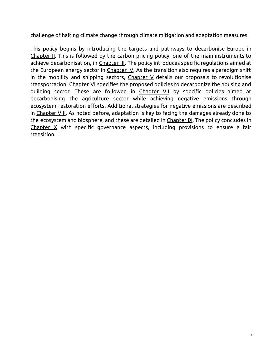challenge of halting climate change through climate mitigation and adaptation measures.

This policy begins by introducing the targets and pathways to decarbonise Europe in Chapter II. This is followed by the carbon pricing policy, one of the main instruments to achieve decarbonisation, in Chapter III. The policy introduces specific regulations aimed at the European energy sector in Chapter IV. As the transition also requires a paradigm shift in the mobility and shipping sectors, Chapter V details our proposals to revolutionise transportation. Chapter VI specifies the proposed policies to decarbonize the housing and building sector. These are followed in Chapter VII by specific policies aimed at decarbonising the agriculture sector while achieving negative emissions through ecosystem restoration efforts. Additional strategies for negative emissions are described in Chapter VIII. As noted before, adaptation is key to facing the damages already done to the ecosystem and biosphere, and these are detailed in Chapter IX. The policy concludes in Chapter  $X$  with specific governance aspects, including provisions to ensure a fair transition.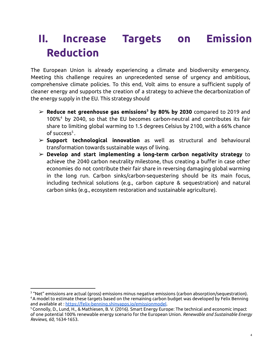## <span id="page-4-0"></span>**II. Increase Targets on Emission Reduction**

The European Union is already experiencing a climate and biodiversity emergency. Meeting this challenge requires an unprecedented sense of urgency and ambitious, comprehensive climate policies. To this end, Volt aims to ensure a sufficient supply of cleaner energy and supports the creation of a strategy to achieve the decarbonization of the energy supply in the EU. This strategy should

- ➢ **Reduce net greenhouse gas emissions <sup>3</sup> by 80% by 2030** compared to 2019 and 100%<sup>4</sup> by 2040, so that the EU becomes carbon-neutral and contributes its fair share to limiting global warming to 1.5 degrees Celsius by 2100, with a 66% chance of success<sup>5</sup>.
- ➢ **Support technological innovation** as well as structural and behavioural transformation towards sustainable ways of living.
- ➢ **Develop and start implementing a long-term carbon negativity strategy** to achieve the 2040 carbon neutrality milestone, thus creating a buffer in case other economies do not contribute their fair share in reversing damaging global warming in the long run. Carbon sinks/carbon-sequestering should be its main focus, including technical solutions (e.g., carbon capture & sequestration) and natural carbon sinks (e.g., ecosystem restoration and sustainable agriculture).

<sup>4</sup>A model to estimate these targets based on the remaining carbon budget was developed by Felix Benning and available at : <https://felix-benning.shinyapps.io/emissionmodel>.  $3$  "Net" emissions are actual (gross) emissions minus negative emissions (carbon absorption/sequestration).

<sup>&</sup>lt;sup>5</sup> Connolly, D., Lund, H., & Mathiesen, B. V. (2016). Smart Energy Europe: The technical and economic impact of one potential 100% renewable energy scenario for the European Union. *Renewable and Sustainable Energy Reviews*, *60*, 1634-1653.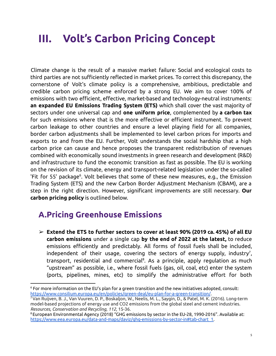### <span id="page-5-0"></span>**III. Volt's Carbon Pricing Concept**

Climate change is the result of a massive market failure: Social and ecological costs to third parties are not sufficiently reflected in market prices. To correct this discrepancy, the cornerstone of Volt's climate policy is a comprehensive, ambitious, predictable and credible carbon pricing scheme enforced by a strong EU. We aim to cover 100% of emissions with two efficient, effective, market-based and technology-neutral instruments: **an expanded EU Emissions Trading System (ETS)** which shall cover the vast majority of sectors under one universal cap and **one uniform price**, complemented by **a carbon tax** for such emissions where that is the more effective or efficient instrument. To prevent carbon leakage to other countries and ensure a level playing field for all companies, border carbon adjustments shall be implemented to level carbon prices for imports and exports to and from the EU. Further, Volt understands the social hardship that a high carbon price can cause and hence proposes the transparent redistribution of revenues combined with economically sound investments in green research and development (R&D) and infrastructure to fund the economic transition as fast as possible. The EU is working on the revision of its climate, energy and transport-related legislation under the so-called 'Fit for 55' package<sup>6</sup>. Volt believes that some of these new measures, e.g., the Emission Trading System (ETS) and the new Carbon Border Adjustment Mechanism (CBAM), are a step in the right direction. However, significant improvements are still necessary. **Our carbon pricing policy** is outlined below.

#### <span id="page-5-1"></span>**A.Pricing Greenhouse Emissions**

➢ **Extend the ETS to further sectors to cover at least 90% (2019 ca. 45%) of all EU carbon emissions** under a single cap **by the end of 2022 at the latest,** to reduce emissions efficiently and predictably. All forms of fossil fuels shall be included, independent of their usage, covering the sectors of energy supply, industry<sup>7</sup>, transport, residential and commercial<sup>8</sup>. As a principle, apply regulation as much "upstream" as possible, i.e., where fossil fuels (gas, oil, coal, etc) enter the system (ports, pipelines, mines, etc) to simplify the administrative effort for both

<sup>6</sup> For more information on the EU's plan for a green transition and the new initiatives adopted, consult: <https://www.consilium.europa.eu/en/policies/green-deal/eu-plan-for-a-green-transition/>.

<sup>7</sup>Van Ruijven, B. J., Van Vuuren, D. P., Boskaljon, W., Neelis, M. L., Saygin, D., & Patel, M. K. (2016). Long-term model-based projections of energy use and CO2 emissions from the global steel and cement industries. *Resources, Conservation and Recycling*, *112*, 15-36.

<sup>8</sup>European Environmental Agency (2018) "GHG emissions by sector in the EU-28, 1990-2016". Available at: [https://www.eea.europa.eu/data-and-maps/daviz/ghg-emissions-by-sector-in#tab-chart\\_1.](https://www.eea.europa.eu/data-and-maps/daviz/ghg-emissions-by-sector-in#tab-chart_1)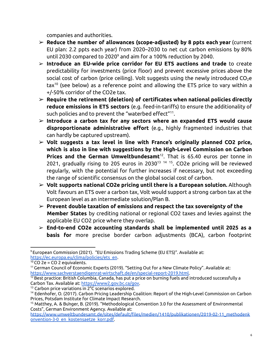companies and authorities.

- ➢ **Reduce the number of allowances (scope-adjusted) by 8 ppts each year** (current EU plan: 2.2 ppts each year) from 2020–2030 to net cut carbon emissions by 80% until 2030 compared to 2020 <sup>9</sup> and aim for a 100% reduction by 2040.
- ➢ **Introduce an EU-wide price corridor for EU ETS auctions and trade** to create predictability for investments (price floor) and prevent excessive prices above the social cost of carbon (price ceiling). Volt suggests using the newly introduced  $CO<sub>2</sub>e$ tax<sup>10</sup> (see below) as a reference point and allowing the ETS price to vary within a +/-50% corridor of the CO2e tax.
- ➢ **Require the retirement (deletion) of certificates when national policies directly reduce emissions in ETS sectors** (e.g. feed-in-tariffs) to ensure the additionality of such policies and to prevent the "waterbed effect"<sup>11</sup>.
- ➢ **Introduce a carbon tax for any sectors where an expanded ETS would cause disproportionate administrative effort** (e.g., highly fragmented industries that can hardly be captured upstream).
- ➢ **Volt suggests a tax level in line with France's originally planned CO2 price, which is also in line with suggestions by the High-Level Commission on Carbon Prices and the German Umweltbundesamt** 12 . That is 65.40 euros per tonne in 2021, gradually rising to 205 euros in 2030 $^{13}$   $^{14}$   $^{15}$ . CO2e pricing will be reviewed regularly, with the potential for further increases if necessary, but not exceeding the range of scientific consensus on the global social cost of carbon.
- ➢ **Volt supports national CO2e pricing until there is a European solution.** Although Volt favours an ETS over a carbon tax, Volt would support a strong carbon tax at the European level as an intermediate solution/Plan B.
- ➢ **Prevent double taxation of emissions and respect the tax sovereignty of the Member States** by crediting national or regional CO2 taxes and levies against the applicable EU CO2 price where they overlap.
- ➢ **End-to-end CO2e accounting standards shall be implemented until 2025 as a basis for** more precise border carbon adjustments (BCA), carbon footprint

<sup>9</sup>European Commission (2021). "EU Emissions Trading Scheme (EU ETS)". Available at: [https://ec.europa.eu/clima/policies/ets\\_en](https://ec.europa.eu/clima/policies/ets_en).

 $10$  CO 2e = CO 2 equivalents.

<sup>11</sup>German Council of Economic Experts (2019). "Setting Out for a New Climate Policy". Available at: [https://www.sachverstaendigenrat-wirtschaft.de/en/special-report-2019.html.](https://www.sachverstaendigenrat-wirtschaft.de/en/special-report-2019.html)

 $12$  Best practice: British Columbia, Canada, has put a price on burning fuels and introduced successfully a Carbon Tax. Available at: [https://www2.gov.bc.ca/gov.](https://www2.gov.bc.ca/gov)

<sup>&</sup>lt;sup>13</sup> Carbon price variations in 2°C scenarios explored.

<sup>14</sup> Edenhofer, O. (2017). Carbon Pricing Leadership Coalition: Report of the High-Level Commission on Carbon Prices, Potsdam Institute for Climate Impact Research.

<sup>15</sup> Matthey, A. & Bünger, B. (2019). "Methodological Convention 3.0 for the Assessment of Environmental Costs", German Environment Agency. Available at:

[https://www.umweltbundesamt.de/sites/default/files/medien/1410/publikationen/2019-02-11\\_methodenk](https://www.umweltbundesamt.de/sites/default/files/medien/1410/publikationen/2019-02-11_methodenkonvention-3-0_en_kostensaetze_korr.pdf) [onvention-3-0\\_en\\_kostensaetze\\_korr.pdf.](https://www.umweltbundesamt.de/sites/default/files/medien/1410/publikationen/2019-02-11_methodenkonvention-3-0_en_kostensaetze_korr.pdf)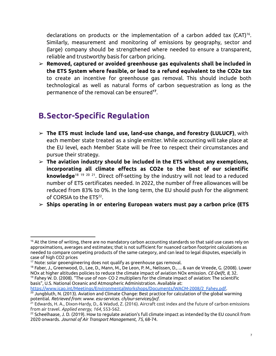declarations on products or the implementation of a carbon added tax (CAT) 16 . Similarly, measurement and monitoring of emissions by geography, sector and (large) company should be strengthened where needed to ensure a transparent, reliable and trustworthy basis for carbon pricing.

➢ **Removed, captured or avoided greenhouse gas equivalents shall be included in the ETS System where feasible, or lead to a refund equivalent to the CO2e tax** to create an incentive for greenhouse gas removal. This should include both technological as well as natural forms of carbon sequestration as long as the permanence of the removal can be ensured **17** .

#### <span id="page-7-0"></span>**B.Sector-Specific Regulation**

- ➢ **The ETS must include land use, land-use change, and forestry (LULUCF)**, with each member state treated as a single emitter. While accounting will take place at the EU level, each Member State will be free to respect their circumstances and pursue their strategy.
- ➢ **The aviation industry should be included in the ETS without any exemptions, incorporating all climate effects as CO2e to the best of our scientific knowledge** 18 19 20 21 . Direct off-setting by the industry will not lead to a reduced number of ETS certificates needed. In 2022, the number of free allowances will be reduced from 83% to 0%. In the long term, the EU should push for the alignment of CORSIA to the ETS<sup>22</sup>.
- ➢ **Ships operating in or entering European waters must pay a carbon price (ETS**

basis", U.S. National Oceanic and Atmospheric Administration. Available at:

 $16$  At the time of writing, there are no mandatory carbon accounting standards so that said use cases rely on approximations, averages and estimates; that is not sufficient for nuanced carbon footprint calculations as needed to compare competing products of the same category, and can lead to legal disputes, especially in case of high CO2 prices

 $17$  Note: solar geoengineering does not qualify as greenhouse gas removal.

 $19$  Fahey W. D. (2008). "The use of non- CO 2 multipliers for the climate impact of aviation: The scientific  $^{18}$  Faber, J., Greenwood, D., Lee, D., Mann, M., De Leon, P. M., Nelissen, D., ... & van de Vreede, G. (2008). Lower NOx at higher altitudes policies to reduce the climate impact of aviation NOx emission. *CE-Delft*, *8*, 32.

 $^{20}$  Jungbluth, N. (2013). Aviation and Climate Change: Best practice for calculation of the global warming potential. *Retrieved from: www. esu-services. ch/our-services/pcf*. [https://www.icao.int/Meetings/EnvironmentalWorkshops/Documents/WACM-2008/2\\_Fahey.pdf.](https://www.icao.int/Meetings/EnvironmentalWorkshops/Documents/WACM-2008/2_Fahey.pdf)

<sup>&</sup>lt;sup>21</sup> Edwards, H. A., Dixon-Hardy, D., & Wadud, Z. (2016). Aircraft cost index and the future of carbon emissions from air travel. *Applied energy*, *164*, 553-562.

 $^{22}$  Scheelhaase, J. D. (2019). How to regulate aviation's full climate impact as intended by the EU council from 2020 onwards. *Journal of Air Transport Management*, *75*, 68-74.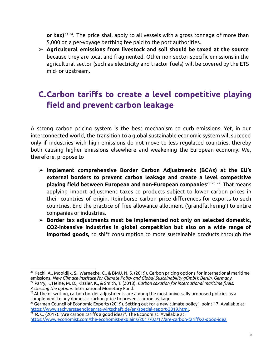**or tax)** 23 24 . The price shall apply to all vessels with a gross tonnage of more than 5,000 on a per-voyage berthing fee paid to the port authorities.

➢ **Agricultural emissions from livestock and soil should be taxed at the source** because they are local and fragmented. Other non-sector-specific emissions in the agricultural sector (such as electricity and tractor fuels) will be covered by the ETS mid- or upstream.

### <span id="page-8-0"></span>**C.Carbon tariffs to create a level competitive playing field and prevent carbon leakage**

A strong carbon pricing system is the best mechanism to curb emissions. Yet, in our interconnected world, the transition to a global sustainable economic system will succeed only if industries with high emissions do not move to less regulated countries, thereby both causing higher emissions elsewhere and weakening the European economy. We, therefore, propose to

- ➢ **Implement comprehensive Border Carbon Adjustments (BCAs) at the EU's external borders to prevent carbon leakage and create a level competitive playing field between European and non-European companies** 25 26 27 . That means applying import adjustment taxes to products subject to lower carbon prices in their countries of origin. Reimburse carbon price differences for exports to such countries. End the practice of free allowance allotment ('grandfathering') to entire companies or industries.
- ➢ **Border tax adjustments must be implemented not only on selected domestic, CO2-intensive industries in global competition but also on a wide range of imported goods,** to shift consumption to more sustainable products through the

<sup>24</sup> Parry, I., Heine, M. D., Kizzier, K., & Smith, T. (2018). *Carbon taxation for international maritime fuels: Assessing the options*. International Monetary Fund.  $^{23}$  Kachi, A., Mooldijk, S., Warnecke, C., & BMU, N. S. (2019). Carbon pricing options for international maritime emissions. *New Climate-Institute for Climate Policy and Global Sustainability gGmbH: Berlin, Germany*.

 $25$  At the of writing, carbon border adjustments are among the most universally proposed policies as a complement to any domestic carbon price to prevent carbon leakage.

<sup>&</sup>lt;sup>26</sup> German Council of Economic Experts (2019). Setting out for a new climate policy", point 17. Available at: [https://www.sachverstaendigenrat-wirtschaft.de/en/special-report-2019.html.](https://www.sachverstaendigenrat-wirtschaft.de/en/special-report-2019.html)

 $27$  R. C. (2017). "Are carbon tariffs a good idea?". The Economist. Available at: <https://www.economist.com/the-economist-explains/2017/02/17/are-carbon-tariffs-a-good-idea>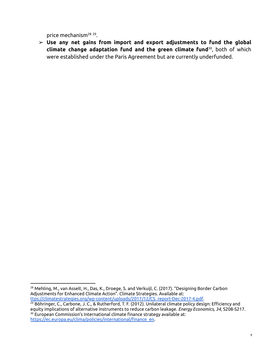price mechanism<sup>28</sup> 29.

➢ **Use any net gains from import and export adjustments to fund the global climate change adaptation fund and the green climate fund** 30 , both of which were established under the Paris Agreement but are currently underfunded.

<sup>&</sup>lt;sup>28</sup> Mehling, M., van Asselt, H., Das, K., Droege, S. and Verkuijl, C. (2017). "Designing Border Carbon Adjustments for Enhanced Climate Action". Climate Strategies. Available at: [ttps://climatestrategies.org/wp-content/uploads/2017/12/CS\\_report-Dec-2017-4.pdf.](https://climatestrategies.org/wp-content/uploads/2017/12/CS_report-Dec-2017-4.pdf)

<sup>&</sup>lt;sup>30</sup> European Commission's International climate finance strategy available at: <sup>29</sup> Böhringer, C., Carbone, J. C., & Rutherford, T. F. (2012). Unilateral climate policy design: Efficiency and equity implications of alternative instruments to reduce carbon leakage. *Energy Economics*, *34*, S208-S217.

[https://ec.europa.eu/clima/policies/international/finance\\_en](https://ec.europa.eu/clima/policies/international/finance_en).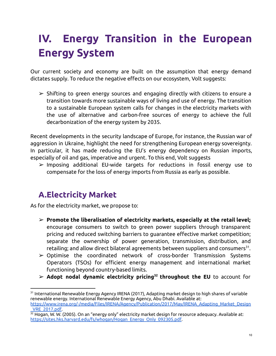# <span id="page-10-0"></span>**IV. Energy Transition in the European Energy System**

Our current society and economy are built on the assumption that energy demand dictates supply. To reduce the negative effects on our ecosystem, Volt suggests:

 $\triangleright$  Shifting to green energy sources and engaging directly with citizens to ensure a transition towards more sustainable ways of living and use of energy. The transition to a sustainable European system calls for changes in the electricity markets with the use of alternative and carbon-free sources of energy to achieve the full decarbonization of the energy system by 2035.

Recent developments in the security landscape of Europe, for instance, the Russian war of aggression in Ukraine, highlight the need for strengthening European energy sovereignty. In particular, it has made reducing the EU's energy dependency on Russian imports, especially of oil and gas, imperative and urgent. To this end, Volt suggests

 $\triangleright$  Imposing additional EU-wide targets for reductions in fossil energy use to compensate for the loss of energy imports from Russia as early as possible.

#### <span id="page-10-1"></span>**A.Electricity Market**

As for the electricity market, we propose to:

- ➢ **Promote the liberalisation of electricity markets, especially at the retail level;** encourage consumers to switch to green power suppliers through transparent pricing and reduced switching barriers to guarantee effective market competition; separate the ownership of power generation, transmission, distribution, and retailing; and allow direct bilateral agreements between suppliers and consumers $^{\text{31}}\cdot$
- ➢ Optimise the coordinated network of cross-border Transmission Systems Operators (TSOs) for efficient energy management and international market functioning beyond country-based limits.
- ➢ **Adopt nodal dynamic electricity pricing <sup>32</sup> throughout the EU** to account for

 $^{\rm 31}$  International Renewable Energy Agency IRENA (2017), Adapting market design to high shares of variable renewable energy. International Renewable Energy Agency, Abu Dhabi. Available at:

[https://www.irena.org/-/media/Files/IRENA/Agency/Publication/2017/May/IRENA\\_Adapting\\_Market\\_Design](https://www.irena.org/-/media/Files/IRENA/Agency/Publication/2017/May/IRENA_Adapting_Market_Design_VRE_2017.pdf) [\\_VRE\\_2017.pdf.](https://www.irena.org/-/media/Files/IRENA/Agency/Publication/2017/May/IRENA_Adapting_Market_Design_VRE_2017.pdf)

 $32$  Hogan, W. W. (2005). On an "energy only" electricity market design for resource adequacy. Available at: [https://sites.hks.harvard.edu/fs/whogan/Hogan\\_Energy\\_Only\\_092305.pdf.](https://sites.hks.harvard.edu/fs/whogan/Hogan_Energy_Only_092305.pdf)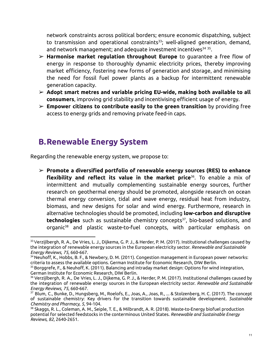network constraints across political borders; ensure economic dispatching, subject to transmission and operational constraints<sup>33</sup>; well-aligned generation, demand, and network management; and adequate investment incentives 34 35 .

- ➢ **Harmonise market regulation throughout Europe** to guarantee a free flow of energy in response to thoroughly dynamic electricity prices, thereby improving market efficiency, fostering new forms of generation and storage, and minimising the need for fossil fuel power plants as a backup for intermittent renewable generation capacity.
- ➢ **Adopt smart metres and variable pricing EU-wide, making both available to all consumers**, improving grid stability and incentivising efficient usage of energy.
- <span id="page-11-0"></span>➢ **Empower citizens to contribute easily to the green transition** by providing free access to energy grids and removing private feed-in caps.

#### **B.Renewable Energy System**

Regarding the renewable energy system, we propose to:

➢ **Promote a diversified portfolio of renewable energy sources (RES) to enhance flexibility and reflect its value in the market price** 36 . To enable a mix of intermittent and mutually complementing sustainable energy sources, further research on geothermal energy should be promoted, alongside research on ocean thermal energy conversion, tidal and wave energy, residual heat from industry, biomass, and new designs for solar and wind energy. Furthermore, research in alternative technologies should be promoted, including **low-carbon and disruptive technologies** such as sustainable chemistry concepts 37 , bio-based solutions, and organic <sup>38</sup> and plastic waste-to-fuel concepts, with particular emphasis on

 $33$ Verzijlbergh, R. A., De Vries, L. J., Dijkema, G. P. J., & Herder, P. M. (2017). Institutional challenges caused by the integration of renewable energy sources in the European electricity sector. *Renewable and Sustainable Energy Reviews*, *75*, 660-667.

 $34$  Neuhoff, K., Hobbs, B. F., & Newbery, D. M. (2011). Congestion management in European power networks: criteria to assess the available options. German Institute for Economic Research, DIW Berlin.

 $^{35}$ Borggrefe, F., & Neuhoff, K. (2011). Balancing and intraday market design: Options for wind integration, German Institute for Economic Research, DIW Berlin.

<sup>&</sup>lt;sup>36</sup> Verzijlbergh, R. A., De Vries, L. J., Dijkema, G. P. J., & Herder, P. M. (2017). Institutional challenges caused by the integration of renewable energy sources in the European electricity sector. *Renewable and Sustainable Energy Reviews*, *75*, 660-667.

<sup>37</sup> Blum, C., Bunke, D., Hungsberg, M., Roelofs, E., Joas, A., Joas, R., ... & Stolzenberg, H. C. (2017). The concept of sustainable chemistry: Key drivers for the transition towards sustainable development. *Sustainable Chemistry and Pharmacy*, *5*, 94-104.

<sup>38</sup> Skaggs, R. L., Coleman, A. M., Seiple, T. E., & Milbrandt, A. R. (2018). Waste-to-Energy biofuel production potential for selected feedstocks in the conterminous United States. *Renewable and Sustainable Energy Reviews*, *82*, 2640-2651.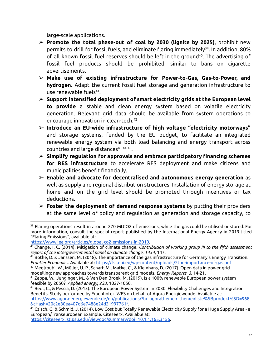large-scale applications.

- ➢ **Promote the total phase-out of coal by 2030 (lignite by 2025)**, prohibit new permits to drill for fossil fuels, and eliminate flaring immediately 39 . In addition, 80% of all known fossil fuel reserves should be left in the ground 40 . The advertising of fossil fuel products should be prohibited, similar to bans on cigarette advertisements.
- ➢ **Make use of existing infrastructure for Power-to-Gas, Gas-to-Power, and hydrogen.** Adapt the current fossil fuel storage and generation infrastructure to use renewable fuels 41 .
- ➢ **Support intensified deployment of smart electricity grids at the European level to provide** a stable and clean energy system based on volatile electricity generation. Relevant grid data should be available from system operations to encourage innovation in clean-tech. 42
- ➢ **Introduce an EU-wide infrastructure of high voltage "electricity motorways"** and storage systems, funded by the EU budget, to facilitate an integrated renewable energy system via both load balancing and energy transport across countries and large distances 43 44 45 .
- ➢ **Simplify regulation for approvals and embrace participatory financing schemes for RES infrastructure** to accelerate RES deployment and make citizens and municipalities benefit financially.
- ➢ **Enable and advocate for decentralised and autonomous energy generation** as well as supply and regional distribution structures. Installation of energy storage at home and on the grid level should be promoted through incentives or tax deductions.
- ➢ **Foster the deployment of demand response systems** by putting their providers at the same level of policy and regulation as generation and storage capacity, to

<https://citeseerx.ist.psu.edu/viewdoc/summary?doi=10.1.1.165.3156>.

 $^\text{39}$  Flaring operations result in around 270 MtCO2 of emissions, while the gas could be utilised or stored. For more information, consult the special report published by the International Energy Agency in 2019 titled "Flaring Emissions", available at:

[https://www.iea.org/articles/global-co2-emissions-in-2019.](https://www.iea.org/articles/global-co2-emissions-in-2019)

<sup>40</sup> Change, I. C. (2014). Mitigation of climate change. *Contribution of working group III to the fifth assessment report of the intergovernmental panel on climate change*, *1454*, 147.

 $^{41}$  Bothe, D. & Janssen, M. (2018). The importance of the gas infrastructure for Germany's Energy Transition. *Frontier Economics*. Available at: <https://fsr.eui.eu/wp-content/uploads/2the-importance-of-gas.pdf>

<sup>42</sup> Medjroubi, W., Müller, U. P., Scharf, M., Matke, C., & Kleinhans, D. (2017). Open data in power grid modelling: new approaches towards transparent grid models. *Energy Reports*, *3*, 14-21.

 $^{43}$  Zappa, W., Junginger, M., & Van Den Broek, M. (2019). Is a 100% renewable European power system feasible by 2050?. *Applied energy*, *233*, 1027-1050.

<sup>44</sup> Redl, C., & Pescia, D. (2015). The European Power System in 2030: Flexibility Challenges and Integration Benefits. Study performed by Fraunhofer IWES on behalf of Agora Energiewende. Available at: [https://www.agora-energiewende.de/en/publications/?tx\\_agorathemen\\_themenliste%5Bprodukt%5D=968](https://www.agora-energiewende.de/en/publications/?tx_agorathemen_themenliste%5Bprodukt%5D=968&cHash=20c2e80ea407d6e7488e24d21997761f) [&cHash=20c2e80ea407d6e7488e24d21997761f](https://www.agora-energiewende.de/en/publications/?tx_agorathemen_themenliste%5Bprodukt%5D=968&cHash=20c2e80ea407d6e7488e24d21997761f).

<sup>&</sup>lt;sup>45</sup> Czisch, G. & Schmid, J. (2014), Low Cost but Totally Renewable Electricity Supply for a Huge Supply Area - a European/Transeuropean Example. Citeseerx. Available at: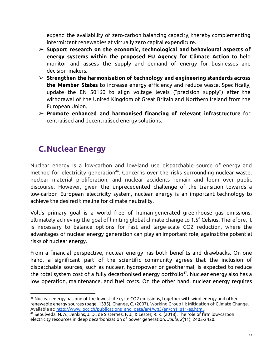expand the availability of zero-carbon balancing capacity, thereby complementing intermittent renewables at virtually zero capital expenditure.

- ➢ **Support research on the economic, technological and behavioural aspects of energy systems within the proposed EU Agency for Climate Action** to help monitor and assess the supply and demand of energy for businesses and decision-makers.
- ➢ **Strengthen the harmonisation of technology and engineering standards across the Member States** to increase energy efficiency and reduce waste. Specifically, update the EN 50160 to align voltage levels ("precision supply") after the withdrawal of the United Kingdom of Great Britain and Northern Ireland from the European Union.
- <span id="page-13-0"></span>➢ **Promote enhanced and harmonised financing of relevant infrastructure** for centralised and decentralised energy solutions.

#### **C.Nuclear Energy**

Nuclear energy is a low-carbon and low-land use dispatchable source of energy and method for electricity generation 46 . Concerns over the risks surrounding nuclear waste, nuclear material proliferation, and nuclear accidents remain and loom over public discourse. However, given the unprecedented challenge of the transition towards a low-carbon European electricity system, nuclear energy is an important technology to achieve the desired timeline for climate neutrality.

Volt's primary goal is a world free of human-generated greenhouse gas emissions, ultimately achieving the goal of limiting global climate change to 1.5° Celsius. Therefore, it is necessary to balance options for fast and large-scale CO2 reduction, where the advantages of nuclear energy generation can play an important role, against the potential risks of nuclear energy.

From a financial perspective, nuclear energy has both benefits and drawbacks. On one hand, a significant part of the scientific community agrees that the inclusion of dispatchable sources, such as nuclear, hydropower or geothermal, is expected to reduce the total system cost of a fully decarbonised energy portfolio 47 . Nuclear energy also has a low operation, maintenance, and fuel costs. On the other hand, nuclear energy requires

 $^{46}$  Nuclear energy has one of the lowest life cycle CO2 emissions, together with wind energy and other renewable energy sources (page, 1335). Change, C. (2007). Working Group III: Mitigation of Climate Change. Available at: [http://www.ipcc.ch/publications\\_and\\_data/ar4/wg3/en/ch11s11-es.html.](http://www.ipcc.ch/publications_and_data/ar4/wg3/en/ch11s11-es.html)

<sup>47</sup> Sepulveda, N. A., Jenkins, J. D., de Sisternes, F. J., & Lester, R. K. (2018). The role of firm low-carbon electricity resources in deep decarbonization of power generation. *Joule*, *2*(11), 2403-2420.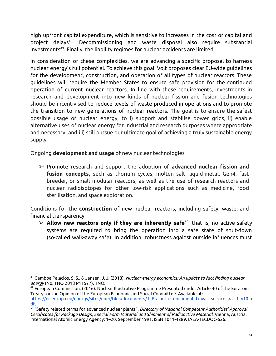high upfront capital expenditure, which is sensitive to increases in the cost of capital and project delays 48 . Decommissioning and waste disposal also require substantial investments 49 . Finally, the liability regimes for nuclear accidents are limited.

In consideration of these complexities, we are advancing a specific proposal to harness nuclear energy's full potential. To achieve this goal, Volt proposes clear EU-wide guidelines for the development, construction, and operation of all types of nuclear reactors. These guidelines will require the Member States to ensure safe provision for the continued operation of current nuclear reactors. In line with these requirements, investments in research and development into new kinds of nuclear fission and fusion technologies should be incentivised to reduce levels of waste produced in operations and to promote the transition to new generations of nuclear reactors. The goal is to ensure the safest possible usage of nuclear energy, to i) support and stabilise power grids, ii) enable alternative uses of nuclear energy for industrial and research purposes where appropriate and necessary, and iii) still pursue our ultimate goal of achieving a truly sustainable energy supply.

Ongoing **development and usage** of new nuclear technologies

➢ Promote research and support the adoption of **advanced nuclear fission and fusion concepts,** such as thorium cycles, molten salt, liquid-metal, Gen4, fast breeder, or small modular reactors, as well as the use of research reactors and nuclear radioisotopes for other low-risk applications such as medicine, food sterilisation, and space exploration.

Conditions for the **construction** of new nuclear reactors, including safety, waste, and financial transparency

➢ **Allow new reactors only if they are inherently safe** 50 ; that is, no active safety systems are required to bring the operation into a safe state of shut-down (so-called walk-away safe). In addition, robustness against outside influences must

<sup>48</sup> Gamboa Palacios, S. S., & Jansen, J. J. (2018). *Nuclear energy economics: An update to fact finding nuclear energy* (No. TNO 2018 P11577). TNO.

 $^{49}$  European Commission. (2016). Nuclear Illustrative Programme Presented under Article 40 of the Euratom Treaty for the Opinion of the European Economic and Social Committee. Available at: https://ec.europa.eu/energy/sites/ener/files/documents/1 EN autre document travail service part1 v10.p [df](https://ec.europa.eu/energy/sites/ener/files/documents/1_EN_autre_document_travail_service_part1_v10.pdf).

<sup>50</sup> "Safety related terms for [advanced](http://www-pub.iaea.org/MTCD/publications/PDF/te_626_web.pdf) nuclear plants". *Directory of National Competent Authorities' Approval Certificates for Package Design, Special Form Material and Shipment of Radioactive Material*. Vienna, Austria: [International](https://en.wikipedia.org/wiki/IAEA) Atomic Energy Agency: 1–20. September 1991. [ISSN](https://en.wikipedia.org/wiki/ISSN_(identifier)) [1011-4289.](https://www.worldcat.org/issn/1011-4289) IAEA-TECDOC-626.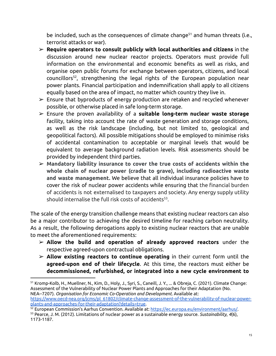be included, such as the consequences of climate change<sup>51</sup> and human threats (i.e., terrorist attacks or war).

- ➢ **Require operators to consult publicly with local authorities and citizens** in the discussion around new nuclear reactor projects. Operators must provide full information on the environmental and economic benefits as well as risks, and organise open public forums for exchange between operators, citizens, and local councillors 52 , strengthening the legal rights of the European population near power plants. Financial participation and indemnification shall apply to all citizens equally based on the area of impact, no matter which country they live in.
- $\triangleright$  Ensure that byproducts of energy production are retaken and recycled whenever possible, or otherwise placed in safe long-term storage.
- ➢ Ensure the proven availability of a **suitable long-term nuclear waste storage** facility, taking into account the rate of waste generation and storage conditions, as well as the risk landscape (including, but not limited to, geological and geopolitical factors). All possible mitigations should be employed to minimise risks of accidental contamination to acceptable or marginal levels that would be equivalent to average background radiation levels. Risk assessments should be provided by independent third parties.
- ➢ **Mandatory liability insurance to cover the true costs of accidents within the whole chain of nuclear power (cradle to grave), including radioactive waste and waste management.** We believe that all individual insurance policies have to cover the risk of nuclear power accidents while ensuring that the financial burden of accidents is not externalised to taxpayers and society. Any energy supply utility should internalise the full risk costs of accidents 53 .

The scale of the energy transition challenge means that existing nuclear reactors can also be a major contributor to achieving the desired timeline for reaching carbon neutrality. As a result, the following derogations apply to existing nuclear reactors that are unable to meet the aforementioned requirements:

- ➢ **Allow the build and operation of already approved reactors** under the respective agreed-upon contractual obligations.
- ➢ **Allow existing reactors to continue operating** in their current form until the **agreed-upon end of their lifecycle**. At this time, the reactors must either be **decommissioned, refurbished, or integrated into a new cycle environment to**

<sup>51</sup> Kromp-Kolb, H., Muellner, N., Kim, D., Holy, J., Syri, S., Caneill, J. Y., ... & Obreja, C. (2021). Climate Change: Assessment of the Vulnerability of Nuclear Power Plants and Approaches for their Adaptation (No. NEA--7207). *Organisation for Economic Co-Operation and Development*. Available at: [https://www.oecd-nea.org/jcms/pl\\_61802/climate-change-assessment-of-the-vulnerability-of-nuclear-power](https://www.oecd-nea.org/jcms/pl_61802/climate-change-assessment-of-the-vulnerability-of-nuclear-power-plants-and-approaches-for-their-adaptation?details=true)[plants-and-approaches-for-their-adaptation?details=true](https://www.oecd-nea.org/jcms/pl_61802/climate-change-assessment-of-the-vulnerability-of-nuclear-power-plants-and-approaches-for-their-adaptation?details=true).

<sup>53</sup> Pearce, J. M. (2012). Limitations of nuclear power as a sustainable energy source. *Sustainability*, *4*(6), 1173-1187. <sup>52</sup> European Commission's Aarhus Convention. Available at: <https://ec.europa.eu/environment/aarhus/>.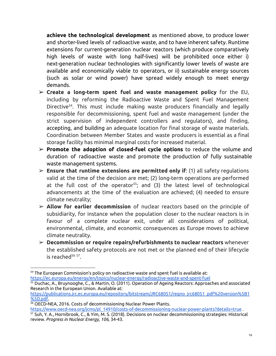**achieve the technological development** as mentioned above, to produce lower and shorter-lived levels of radioactive waste, and to have inherent safety. Runtime extensions for current-generation nuclear reactors (which produce comparatively high levels of waste with long half-lives) will be prohibited once either i) next-generation nuclear technologies with significantly lower levels of waste are available and economically viable to operators, or ii) sustainable energy sources (such as solar or wind power) have spread widely enough to meet energy demands.

- ➢ **Create a long-term spent fuel and waste management policy** for the EU, including by reforming the Radioactive Waste and Spent Fuel Management Directive 54 . This must include making waste producers financially and legally responsible for decommissioning, spent fuel and waste management (under the strict supervision of independent controllers and regulators), and finding, accepting, and building an adequate location for final storage of waste materials. Coordination between Member States and waste producers is essential as a final storage facility has minimal marginal costs for increased material.
- ➢ **Promote the adoption of closed-fuel cycle options** to reduce the volume and duration of radioactive waste and promote the production of fully sustainable waste management systems.
- ➢ **Ensure that runtime extensions are permitted only if**: (1) all safety regulations valid at the time of the decision are met; (2) long-term operations are performed at the full cost of the operator 55 ; and (3) the latest level of technological advancements at the time of the evaluation are achieved; (4) needed to ensure climate neutrality;
- ➢ **Allow for earlier decommission** of nuclear reactors based on the principle of subsidiarity, for instance when the population closer to the nuclear reactors is in favour of a complete nuclear exit, under all considerations of political, environmental, climate, and economic consequences as Europe moves to achieve climate neutrality.
- ➢ **Decommission or require repairs/refurbishments to nuclear reactors** whenever the established safety protocols are not met or the planned end of their lifecycle is reached<sup>56 57</sup>.

[https://www.oecd-nea.org/jcms/pl\\_14910/costs-of-decommissioning-nuclear-power-plants?details=true](https://www.oecd-nea.org/jcms/pl_14910/costs-of-decommissioning-nuclear-power-plants?details=true) .

<sup>&</sup>lt;sup>54</sup> The European Commission's policy on radioactive waste and spent fuel is available at: <https://ec.europa.eu/energy/en/topics/nuclear-energy/radioactive-waste-and-spent-fuel>

<sup>55</sup> Duchac, A., Bruynooghe, C., & Martin, O. (2011). Operation of Ageing Reactors: Approaches and associated Research in the European Union. Available at:

[https://publications.jrc.ec.europa.eu/repository/bitstream/JRC68051/reqno\\_jrc68051\\_pdf%20version%5B1](https://publications.jrc.ec.europa.eu/repository/bitstream/JRC68051/reqno_jrc68051_pdf%20version%5B1%5D.pdf) [%5D.pdf.](https://publications.jrc.ec.europa.eu/repository/bitstream/JRC68051/reqno_jrc68051_pdf%20version%5B1%5D.pdf)

<sup>56</sup> OECD-NEA, 2016. Costs of decommissioning Nuclear Power Plants.

<sup>57</sup> Suh, Y. A., Hornibrook, C., & Yim, M. S. (2018). Decisions on nuclear decommissioning strategies: Historical review. *Progress in Nuclear Energy*, *106*, 34-43.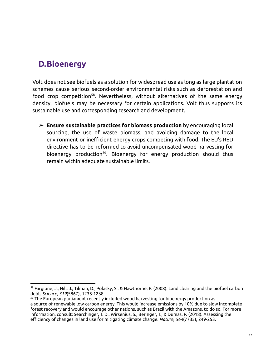#### <span id="page-17-0"></span>**D.Bioenergy**

Volt does not see biofuels as a solution for widespread use as long as large plantation schemes cause serious second-order environmental risks such as deforestation and food crop competition<sup>58</sup>. Nevertheless, without alternatives of the same energy density, biofuels may be necessary for certain applications. Volt thus supports its sustainable use and corresponding research and development.

➢ **Ensure sustainable practices for biomass production** by encouraging local sourcing, the use of waste biomass, and avoiding damage to the local environment or inefficient energy crops competing with food. The EU's RED directive has to be reformed to avoid uncompensated wood harvesting for bioenergy production<sup>59</sup>. Bioenergy for energy production should thus remain within adequate sustainable limits.

<sup>58</sup> Fargione, J., Hill, J., Tilman, D., Polasky, S., & Hawthorne, P. (2008). Land clearing and the biofuel carbon debt. *Science*, *319*(5867), 1235-1238.

 $59$  The European parliament recently included wood harvesting for bioenergy production as a source of renewable low-carbon energy. This would increase emissions by 10% due to slow incomplete forest recovery and would encourage other nations, such as Brazil with the Amazons, to do so. For more information, consult: Searchinger, T. D., Wirsenius, S., Beringer, T., & Dumas, P. (2018). Assessing the efficiency of changes in land use for mitigating climate change. *Nature*, *564*(7735), 249-253.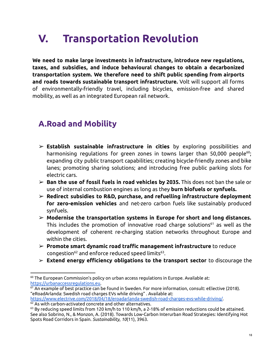# <span id="page-18-0"></span>**V. Transportation Revolution**

**We need to make large investments in infrastructure, introduce new regulations, taxes, and subsidies, and induce behavioural changes to obtain a decarbonized transportation system. We therefore need to shift public spending from airports and roads towards sustainable transport infrastructure.** Volt will support all forms of environmentally-friendly travel, including bicycles, emission-free and shared mobility, as well as an integrated European rail network.

#### <span id="page-18-1"></span>**A.Road and Mobility**

- ➢ **Establish sustainable infrastructure in cities** by exploring possibilities and harmonising regulations for green zones in towns larger than 50,000 people<sup>60</sup>; expanding city public transport capabilities; creating bicycle-friendly zones and bike lanes; promoting sharing solutions; and introducing free public parking slots for electric cars.
- ➢ **Ban the use of fossil fuels in road vehicles by 2035.** This does not ban the sale or use of internal combustion engines as long as they **burn biofuels or synfuels.**
- ➢ **Redirect subsidies to R&D, purchase, and refuelling infrastructure deployment for zero-emission vehicles** and net-zero carbon fuels like sustainably produced synfuels.
- ➢ **Modernise the transportation systems in Europe for short and long distances.** This includes the promotion of innovative road charge solutions <sup>61</sup> as well as the development of coherent re-charging station networks throughout Europe and within the cities.
- ➢ **Promote smart dynamic road traffic management infrastructure** to reduce congestion <sup>62</sup> and enforce reduced speed limits 63 .
- ➢ **Extend energy efficiency obligations to the transport sector** to discourage the

<https://www.electrive.com/2018/04/18/eroadarlanda-swedish-road-charges-evs-while-driving/>.

 $60$  The European Commission's policy on urban access regulations in Europe. Available at: [https://urbanaccessregulations.eu.](https://urbanaccessregulations.eu)

 $61$  An example of best practice can be found in Sweden. For more information, consult: eElective (2018). "eRoadArlanda: Swedish road charges EVs while driving" . Available at:

 $62$  As with carbon-activated concrete and other alternatives.

 $^{63}$  By reducing speed limits from 120 km/h to 110 km/h, a 2-18% of emission reductions could be attained. See also Sobrino, N., & Monzon, A. (2018). Towards Low-Carbon Interurban Road Strategies: Identifying Hot Spots Road Corridors in Spain. *Sustainability*, *10*(11), 3963.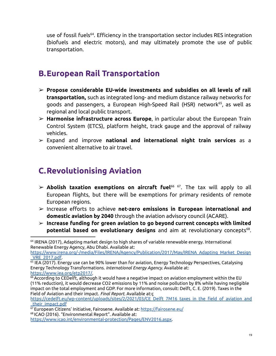use of fossil fuels<sup>64</sup>. Efficiency in the transportation sector includes RES integration (biofuels and electric motors), and may ultimately promote the use of public transportation.

#### <span id="page-19-0"></span>**B.European Rail Transportation**

- ➢ **Propose considerable EU-wide investments and subsidies on all levels of rail transportation,** such as integrated long- and medium distance railway networks for goods and passengers, a European High-Speed Rail (HSR) network 65 , as well as regional and local public transport.
- ➢ **Harmonise infrastructure across Europe**, in particular about the European Train Control System (ETCS), platform height, track gauge and the approval of railway vehicles.
- ➢ Expand and improve **national and international night train services** as a convenient alternative to air travel.

#### <span id="page-19-1"></span>**C.Revolutionising Aviation**

- ➢ **Abolish taxation exemptions on aircraft fuel** 66 67 . The tax will apply to all European flights, but there will be exemptions for primary residents of remote European regions.
- ➢ Increase efforts to achieve **net-zero emissions in European international and domestic aviation by 2040** through the aviation advisory council (ACARE).
- ➢ **Increase funding for green aviation to go beyond current concepts with limited potential based on evolutionary designs** and aim at revolutionary concepts 68 .

<sup>64</sup> IRENA (2017), Adapting market design to high shares of variable renewable energy. International Renewable Energy Agency, Abu Dhabi. Available at:

[https://www.irena.org/-/media/Files/IRENA/Agency/Publication/2017/May/IRENA\\_Adapting\\_Market\\_Design](https://www.irena.org/-/media/Files/IRENA/Agency/Publication/2017/May/IRENA_Adapting_Market_Design_VRE_2017.pdf) [\\_VRE\\_2017.pdf.](https://www.irena.org/-/media/Files/IRENA/Agency/Publication/2017/May/IRENA_Adapting_Market_Design_VRE_2017.pdf)

 $^{65}$  IEA (2017). Energy use can be 90% lower than for aviation, Energy Technology Perspectives, Catalysing Energy Technology Transformations. *International Energy Agency*. Available at: [https://www.iea.org/etp2017/.](https://www.iea.org/etp2017/)

 $^{66}$  According to CEDelft, although it would have a negative impact on aviation employment within the EU (11% reduction), it would decrease CO2 emissions by 11% and noise pollution by 8% while having negligible impact on the total employment and GDP. For more information, consult: Delft, C. E. (2019). Taxes in the Field of Aviation and their impact. *Final Report*. Available at:ç

[https://cedelft.eu/wp-content/uploads/sites/2/2021/03/CE\\_Delft\\_7M16\\_taxes\\_in\\_the\\_field\\_of\\_aviation\\_and](https://cedelft.eu/wp-content/uploads/sites/2/2021/03/CE_Delft_7M16_taxes_in_the_field_of_aviation_and_their_impact.pdf) their\_impact.pdf

<sup>68</sup> ICAO (2016). "Environmental Report". Available at: <https://www.icao.int/environmental-protection/Pages/ENV2016.aspx>. <sup>67</sup> European Citizens' Initiative, Fairosene. Available at: <u><https://fairosene.eu/></u>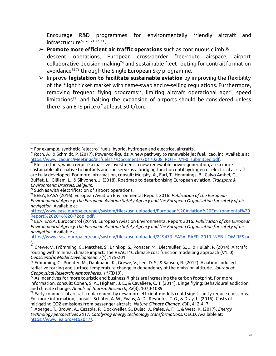Encourage R&D programmes for environmentally friendly aircraft and infrastructure<sup>69 70 71 72 73</sup>.

- ➢ **Promote more efficient air traffic operations** such as continuous climb & descent operations, European cross-border free-route airspace, airport  $collaborative\ decision-making<sup>74</sup>$  and sustainable fleet routing for contrail formation avoidance <sup>75</sup> <sup>76</sup> through the Single European Sky programme.
- ➢ Improve **legislation to facilitate sustainable aviation** by improving the flexibility of the flight ticket market with name-swap and re-selling regulations. Furthermore, removing frequent flying programs<sup>77</sup>, limiting aircraft operational age<sup>78</sup>, speed limitations 79 , and halting the expansion of airports should be considered unless there is an ETS price of at least 50 €/ton.

 $^{69}$  For example, synthetic "electro" fuels, hybrid, hydrogen and electrical aircrafts.

 $^{70}$ Roth, A., & Schmidt, P. (2017). Power-to-liquids: A new pathway to renewable jet fuel. Icao. int. Available at: [https://www.icao.int/Meetings/altfuels17/Documents/20170208\\_ROTH\\_V1-0\\_submitted.pdf.](https://www.icao.int/Meetings/altfuels17/Documents/20170208_ROTH_V1-0_submitted.pdf)

 $71$  Electro fuels, which require a massive investment in new renewable power generation, are a more sustainable alternative to biofuels and can serve as a bridging function until hydrogen or electrical aircraft are fully developed. For more information, consult: Murphy, A., Earl, T., Hemmings, B., Calvo Ambel, C., Buffet, L., Gilliam, L., & Sihvonen, J. (2018). Roadmap to decarbonising European aviation. *Transport & Environment: Brussels, Belgium*.

<sup>&</sup>lt;sup>72</sup> Such as with electrification of airport operations.

<sup>73</sup>EEEA, EASA (2016). European Aviation Environmental Report 2016. *Publication of the European Environmental Agency, the European Aviation Safety Agency and the European Organisation for safety of air navigation.* Available at:

[https://www.easa.europa.eu/eaer/system/files/usr\\_uploaded/European%20Aviation%20Environmental%20](https://www.easa.europa.eu/eaer/system/files/usr_uploaded/European%20Aviation%20Environmental%20Report%202016%20-72dpi.pdf) [Report%202016%20-72dpi.pdf.](https://www.easa.europa.eu/eaer/system/files/usr_uploaded/European%20Aviation%20Environmental%20Report%202016%20-72dpi.pdf)

<sup>74</sup>EEA, EASA, Eurocontrol (2019). European Aviation Environmental Report 2016. *Publication of the European Environmental Agency, the European Aviation Safety Agency and the European Organisation for safety of air navigation.* Available at:

[https://www.easa.europa.eu/eaer/system/files/usr\\_uploaded/219473\\_EASA\\_EAER\\_2019\\_WEB\\_LOW-RES.pd](https://www.easa.europa.eu/eaer/system/files/usr_uploaded/219473_EASA_EAER_2019_WEB_LOW-RES.pdf) [f](https://www.easa.europa.eu/eaer/system/files/usr_uploaded/219473_EASA_EAER_2019_WEB_LOW-RES.pdf).

 $^{75}$  Grewe, V., Frömming, C., Matthes, S., Brinkop, S., Ponater, M., Dietmüller, S., … & Hullah, P. (2014). Aircraft routing with minimal climate impact: The REACT4C climate cost function modelling approach (V1. 0). *Geoscientific Model Development*, *7*(1), 175-201.

<sup>76</sup> Frömming, C., Ponater, M., Dahlmann, K., Grewe, V., Lee, D. S., & Sausen, R. (2012). Aviation‐induced radiative forcing and surface temperature change in dependency of the emission altitude. *Journal of Geophysical Research: Atmospheres*, *117*(D19).

 $^{77}$  As incentives for more touristic and business flights are increasing the carbon footprint. For more information, consult: Cohen, S. A., Higham, J. E., & Cavaliere, C. T. (2011). Binge flying: Behavioural addiction and climate change. *Annals of Tourism Research*, *38*(3), 1070-1089.

 $^{78}$  Early commercial aircraft replacement by new more efficient models could significantly reduce emissions. For more information, consult: Schäfer, A. W., Evans, A. D., Reynolds, T. G., & Dray, L. (2016). Costs of mitigating CO2 emissions from passenger aircraft. *Nature Climate Change*, *6*(4), 412-417.

<sup>79</sup> Abergel, T., Brown, A., Cazzola, P., Dockweiler, S., Dulac, J., Pales, A. F., ... & West, K. (2017). *Energy technology perspectives 2017: Catalysing energy technology transformations*. OECD. Available at: [https://www.iea.org/etp2017/.](https://www.iea.org/etp2017/)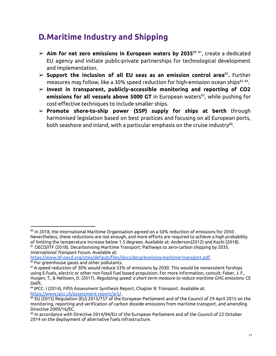### <span id="page-21-0"></span>**D.Maritime Industry and Shipping**

- ➢ **Aim for net zero emissions in European waters by 2035** 80 81 , create a dedicated EU agency and initiate public-private partnerships for technological development and implementation.
- ➢ **Support the inclusion of all EU seas as an emission control area** 82 **.** Further measures may follow, like a 30% speed reduction for high-emission ocean ships<sup>83 84</sup>.
- ➢ **Invest in transparent, publicly-accessible monitoring and reporting of CO2 emissions for all vessels above 5000 GT** in European waters 85 , while pushing for cost-effective techniques to include smaller ships.
- ➢ **Promote shore-to-ship power (SSP) supply for ships at berth** through harmonised legislation based on best practices and focusing on all European ports, both seashore and inland, with a particular emphasis on the cruise industry<sup>86</sup>.

<sup>81</sup> OECD/ITF (2018). Decarbonising Maritime Transport: Pathways to zero-carbon shipping by 2035.  $^{\text{\tiny{80}}}$  In 2018, the International Maritime Organisation agreed on a 50% reduction of emissions for 2050 . Nevertheless, these reductions are not enough, and more efforts are required to achieve a high probability of limiting the temperature increase below 1.5 degrees. Available at: Anderson(2012) and Kachi (2018).

*International Transport Forum*. Available at: [https://www.itf-oecd.org/sites/default/files/docs/decarbonising-maritime-transport.pdf.](https://www.itf-oecd.org/sites/default/files/docs/decarbonising-maritime-transport.pdf)

<sup>82</sup> For greenhouse gases and other pollutants.

 $83$  A speed reduction of 30% would reduce 33% of emissions by 2030. This would be nonexistent forships using E-fuels, electric or other non fossil fuel based propulsion. For more information, consult: Faber, J. F., Huigen, T., & Nelissen, D. (2017). *Regulating speed: a short-term measure to reduce maritime GHG emissions*. CE Delft.

<sup>&</sup>lt;sup>84</sup>IPCC. I (2014), Fifth Assessment Synthesis Report, Chapter 8: Transport. Available at: [https://www.ipcc.ch/assessment-report/ar5/.](https://www.ipcc.ch/assessment-report/ar5/)

 $85$  EU (2015) Regulation (EU) 2015/757 of the European Parliament and of the Council of 29 April 2015 on the monitoring, reporting and verification of carbon dioxide emissions from maritime transport, and amending Directive 2009/16/EC.

 $^{\rm 86}$  In accordance with Directive 2014/94/EU of the European Parliament and of the Council of 22 October 2014 on the deployment of alternative fuels infrastructure.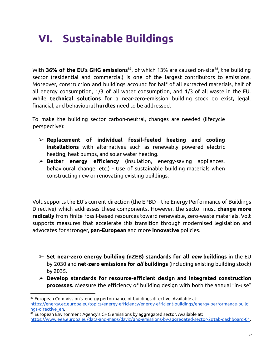# <span id="page-22-0"></span>**VI. Sustainable Buildings**

With **36% of the EU's GHG emissions** 87 , of which 13% are caused on-site 88 , the building sector (residential and commercial) is one of the largest contributors to emissions. Moreover, construction and buildings account for half of all extracted materials, half of all energy consumption, 1/3 of all water consumption, and 1/3 of all waste in the EU. While **technical solutions** for a near-zero-emission building stock do exist**,** legal, financial, and behavioural **hurdles** need to be addressed.

To make the building sector carbon-neutral, changes are needed (lifecycle perspective):

- ➢ **Replacement of individual fossil-fueled heating and cooling installations** with alternatives such as renewably powered electric heating, heat pumps, and solar water heating.
- ➢ **Better energy efficiency** (insulation, energy-saving appliances, behavioural change, etc.) - Use of sustainable building materials when constructing new or renovating existing buildings.

Volt supports the EU's current direction (the EPBD – the Energy Performance of Buildings Directive) which addresses these components. However, the sector must **change more radically** from finite fossil-based resources toward renewable, zero-waste materials. Volt supports measures that accelerate this transition through modernised legislation and advocates for stronger, **pan-European** and more **innovative** policies.

- ➢ **Set near-zero energy building (nZEB) standards for all** *new* **buildings** in the EU by 2030 and **net-zero emissions for** *all* **buildings** (including existing building stock) by 2035.
- ➢ **Develop standards for resource-efficient design and integrated construction processes.** Measure the efficiency of building design with both the annual "in-use"

<sup>87</sup> European Commission's energy performance of buildings directive. Available at: [https://energy.ec.europa.eu/topics/energy-efficiency/energy-efficient-buildings/energy-performance-buildi](https://energy.ec.europa.eu/topics/energy-efficiency/energy-efficient-buildings/energy-performance-buildings-directive_en) [ngs-directive\\_en](https://energy.ec.europa.eu/topics/energy-efficiency/energy-efficient-buildings/energy-performance-buildings-directive_en).

<sup>88</sup> European Environment Agency's GHG emissions by aggregated sector. Available at:

[https://www.eea.europa.eu/data-and-maps/daviz/ghg-emissions-by-aggregated-sector-2#tab-dashboard-01.](https://www.eea.europa.eu/data-and-maps/daviz/ghg-emissions-by-aggregated-sector-2#tab-dashboard-01)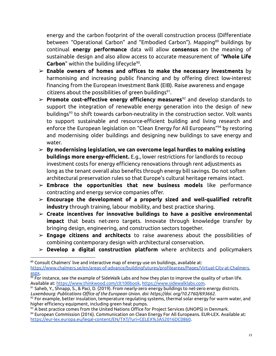energy and the carbon footprint of the overall construction process (Differentiate between "Operational Carbon" and "Embodied Carbon"). Mapping <sup>89</sup> buildings by continual **energy performance** data will allow **consensus** on the meaning of sustainable design and also allow access to accurate measurement of "**Whole Life Carbon**" within the building lifecycle 90 .

- ➢ **Enable owners of homes and offices to make the necessary investments** by harmonising and increasing public financing and by offering direct low-interest financing from the European Investment Bank (EIB). Raise awareness and engage citizens about the possibilities of green buildings 91 .
- ➢ **Promote cost-effective energy efficiency measures** <sup>92</sup> and develop standards to support the integration of renewable energy generation into the design of new buildings <sup>93</sup> to shift towards carbon-neutrality in the construction sector. Volt wants to support sustainable and resource-efficient building and living research and enforce the European legislation on "Clean Energy for All Europeans" <sup>94</sup> by restoring and modernising older buildings and designing new buildings to save energy and water.
- ➢ **By modernising legislation, we can overcome legal hurdles to making existing buildings more energy-efficient.** E.g., lower restrictions for landlords to recoup investment costs for energy efficiency renovations through rent adjustments as long as the tenant overall also benefits through energy bill savings. Do not soften architectural preservation rules so that Europe's cultural heritage remains intact.
- ➢ **Embrace the opportunities that new business models** like performance contracting and energy service companies offer.
- ➢ **Encourage the development of a properly sized and well-qualified retrofit industry** through training, labour mobility, and best practice sharing.
- ➢ **Create incentives for innovative buildings to have a positive environmental impact** that beats net-zero targets. Innovate through knowledge transfer by bringing design, engineering, and construction sectors together.
- ➢ **Engage citizens and architects** to raise awareness about the possibilities of combining contemporary design with architectural conservation.
- ➢ **Develop a digital construction platform** where architects and policymakers

<sup>89</sup> Consult Chalmers' live and interactive map of energy use on buildings, available at: [https://www.chalmers.se/en/areas-of-advance/buildingfutures/profileareas/Pages/Virtual-City-at-Chalmers.](https://www.chalmers.se/en/areas-of-advance/buildingfutures/profileareas/Pages/Virtual-City-at-Chalmers.aspx) [aspx](https://www.chalmers.se/en/areas-of-advance/buildingfutures/profileareas/Pages/Virtual-City-at-Chalmers.aspx).

 $90$  For instance, see the example of SideWalk Labs and how they plan to improve the quality of urban life. Available at: <https://www.thinkwood.com/clt100book>, <https://www.sidewalklabs.com>.

 $91$  Saheb, Y., Shnapp, S., & Paci, D. (2019). From nearly-zero energy buildings to net-zero energy districts. *Luxembourg: Publications Office of the European Union. doi: https://doi. org/10.2760/693662*.

 $92$  For example, better insulation, temperature regulating systems, thermal solar energy for warm water, and higher efficiency equipment, including green heat pumps.

<sup>&</sup>lt;sup>93</sup> A best practice comes from the United Nations Office for Project Services (UNOPS) in Denmark.

<sup>94</sup> European Commission (2016). Communication on Clean Energy For All Europeans. EUR-LEX. Available at: <https://eur-lex.europa.eu/legal-content/EN/TXT/?uri=CELEX%3A52016DC0860>.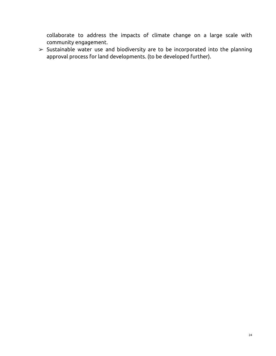collaborate to address the impacts of climate change on a large scale with community engagement.

 $\triangleright$  Sustainable water use and biodiversity are to be incorporated into the planning approval process for land developments. (to be developed further).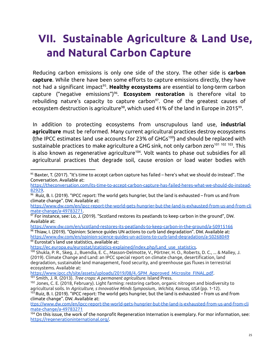## <span id="page-25-0"></span>**VII. Sustainable Agriculture & Land Use, and Natural Carbon Capture**

Reducing carbon emissions is only one side of the story. The other side is **carbon capture**. While there have been some efforts to capture emissions directly, they have not had a significant impact 95 . **Healthy ecosystems** are essential to long-term carbon capture ("negative emissions") 96 . **Ecosystem restoration** is therefore vital to rebuilding nature's capacity to capture carbon 97 . One of the greatest causes of ecosystem destruction is agriculture<sup>98</sup>, which used 41% of the land in Europe in 2015<sup>99</sup>.

In addition to protecting ecosystems from unscrupulous land use, **industrial agriculture** must be reformed. Many current agricultural practices destroy ecosystems (the IPCC estimates land use accounts for 23% of GHGs<sup>100</sup>) and should be replaced with sustainable practices to make agriculture a GHG sink, not only carbon zero<sup>101 102 103</sup>. This is also known as regenerative agriculture 104 . Volt wants to phase out subsidies for all agricultural practices that degrade soil, cause erosion or load water bodies with

[https://www.dw.com/en/ipcc-report-the-world-gets-hungrier-but-the-land-is-exhausted-from-us-and-from-cli](https://www.dw.com/en/ipcc-report-the-world-gets-hungrier-but-the-land-is-exhausted-from-us-and-from-climate-change/a-49783271) [mate-change/a-49783271.](https://www.dw.com/en/ipcc-report-the-world-gets-hungrier-but-the-land-is-exhausted-from-us-and-from-climate-change/a-49783271)

99 Eurostat's land use statistics, available at:  $98$  Thiaw, I. (2019). "Opinion: Science guides UN actions to curb land degradation". DW. Available at: <https://www.dw.com/en/opinion-science-guides-un-actions-to-curb-land-degradation/a-50268049> <https://www.dw.com/en/scotland-restores-its-peatlands-to-keep-carbon-in-the-ground/a-50915166>

[https://ec.europa.eu/eurostat/statistics-explained/index.php/Land\\_use\\_statistics.](https://ec.europa.eu/eurostat/statistics-explained/index.php/Land_use_statistics)

 $95$  Baxter, T. (2017). "It's time to accept carbon capture has failed – here's what we should do instead". The Conversation. Available at:

[https://theconversation.com/its-time-to-accept-carbon-capture-has-failed-heres-what-we-should-do-instead-](https://theconversation.com/its-time-to-accept-carbon-capture-has-failed-heres-what-we-should-do-instead-82929)[82929.](https://theconversation.com/its-time-to-accept-carbon-capture-has-failed-heres-what-we-should-do-instead-82929)

 $96$  Ruiz, B. I. (2019). "IPCC report: The world gets hungrier, but the land is exhausted – from us and from climate change". DW. Available at:

 $97$  For instance, see: Lo, J. (2019). "Scotland restores its peatlands to keep carbon in the ground", DW. Available at:

<sup>100</sup> Shukla, P. R., Skeg, J., Buendia, E. C., Masson-Delmotte, V., Pörtner, H. O., Roberts, D. C., ... & Malley, J. (2019). Climate Change and Land: an IPCC special report on climate change, desertification, land degradation, sustainable land management, food security, and greenhouse gas fluxes in terrestrial ecosystems. Available at:

<sup>101</sup> Smith, J. R. (2013). *Tree crops: A permanent agriculture*. Island Press. [https://www.ipcc.ch/site/assets/uploads/2019/08/4.-SPM\\_Approved\\_Microsite\\_FINAL.pdf](https://www.ipcc.ch/site/assets/uploads/2019/08/4.-SPM_Approved_Microsite_FINAL.pdf).

<sup>&</sup>lt;sup>102</sup> Jones, C. E. (2018, February). Light farming: restoring carbon, organic nitrogen and biodiversity to agricultural soils. In *Agriculture, s Innovative Minds Symposium,. Wichita, Kansas, USA* (pp. 1-12).

 $103$  Ruiz, B. I. (2019). "IPCC report: The world gets hungrier, but the land is exhausted – from us and from climate change". DW. Available at:

[ttps://www.dw.com/en/ipcc-report-the-world-gets-hungrier-but-the-land-is-exhausted-from-us-and-from-cli](https://www.dw.com/en/ipcc-report-the-world-gets-hungrier-but-the-land-is-exhausted-from-us-and-from-climate-change/a-49783271) [mate-change/a-49783271](https://www.dw.com/en/ipcc-report-the-world-gets-hungrier-but-the-land-is-exhausted-from-us-and-from-climate-change/a-49783271)

 $104$  On this issue, the work of the nonprofit Regeneration Internation is exemplary. For mor information, see: [https://regenerationinternational.org/.](https://regenerationinternational.org/)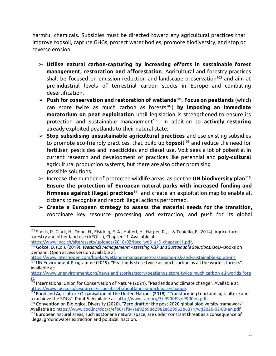harmful chemicals. Subsidies must be directed toward any agricultural practices that improve topsoil, capture GHGs, protect water bodies, promote biodiversity, and stop or reverse erosion.

- ➢ **Utilise natural carbon-capturing by increasing efforts in sustainable forest management, restoration and afforestation**. Agricultural and forestry practices shall be focused on emission reduction and landscape preservation <sup>105</sup> and aim at pre-industrial levels of terrestrial carbon stocks in Europe and combating desertification.
- ➢ **Push for conservation and restoration of wetlands** 106 . **Focus on peatlands** (which can store twice as much carbon as forests 107 ) **by imposing an immediate moratorium on peat exploitation** until legislation is strengthened to ensure its protection and sustainable management 108 , in addition to **actively restoring** already exploited peatlands to their natural state.
- ➢ **Stop subsidising unsustainable agricultural practices** and use existing subsidies to promote eco-friendly practices, that build up **topsoil** <sup>109</sup> and reduce the need for fertiliser, pesticides and insecticides and diesel use. Volt sees a lot of potential in current research and development of practices like perennial and **poly-cultural** agricultural production systems, but there are also other promising possible solutions.
- ➢ Increase the number of protected wildlife areas, as per the **UN biodiversity plan 110** . **Ensure the protection of European natural parks with increased funding and firmness against illegal practices** <sup>111</sup> and create an exploitation map to enable all citizens to recognise and report illegal actions performed.
- ➢ **Create a European strategy to assess the material needs for the transition,** coordinate key resource processing and extraction, and push for its global

<sup>105</sup> Smith, P., Clark, H., Dong, H., Elsiddig, E. A., Haberl, H., Harper, R., ... & Tubiello, F. (2014). Agriculture, forestry and other land use (AFOLU), Chapter 11. Available at

[https://www.ipcc.ch/site/assets/uploads/2018/02/ipcc\\_wg3\\_ar5\\_chapter11.pdf](https://www.ipcc.ch/site/assets/uploads/2018/02/ipcc_wg3_ar5_chapter11.pdf).

<sup>106</sup> Gokce, D. (Ed.). (2019). *Wetlands Management: Assessing Risk and Sustainable Solutions*. BoD–Books on Demand. Open access version available at:

<https://www.intechopen.com/books/wetlands-management-assessing-risk-and-sustainable-solutions>

<sup>107</sup> UN Environment Programme (2019). "Peatlands store twice as much carbon as all the world's forests". Available at:

[https://www.unenvironment.org/news-and-stories/story/peatlands-store-twice-much-carbon-all-worlds-fore](https://www.unenvironment.org/news-and-stories/story/peatlands-store-twice-much-carbon-all-worlds-forests) [st.](https://www.unenvironment.org/news-and-stories/story/peatlands-store-twice-much-carbon-all-worlds-forests)

<sup>108</sup> International Union for Conservation of Nature (2021). "Peatlands and climate change". Available at: [https://www.iucn.org/resources/issues-briefs/peatlands-and-climate-change.](https://www.iucn.org/resources/issues-briefs/peatlands-and-climate-change)

<sup>109</sup> Food and Agriculture Organisation of the United Nations (2018). "Transforming food and agriculture and to achieve the SDGs". Point 5. Available at: <http://www.fao.org/3/I9900EN/i9900en.pdf>.

<sup>110</sup> Convention on Biological Diversity (2020). "Zero draft of the post-2020 global biodiversity framework". Available at: <https://www.cbd.int/doc/c/efb0/1f84/a892b98d2982a829962b6371/wg2020-02-03-en.pdf>

<sup>111</sup> European natural areas, such as Doñana natural space, are under constant threat as a consequence of illegal groundwater extraction and political inaction.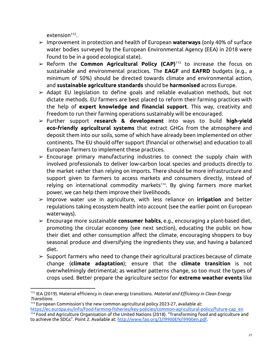extension<sup>112</sup>.

- ➢ Improvement in protection and health of European **waterways** (only 40% of surface water bodies surveyed by the European Environmental Agency (EEA) in 2018 were found to be in a good ecological state).
- ➢ Reform the **Common Agricultural Policy (CAP)** <sup>113</sup> to increase the focus on sustainable and environmental practices. The **EAGF** and **EAFRD** budgets (e.g., a minimum of 50%) should be directed towards climate and environmental action, and **sustainable agriculture standards** should be **harmonised** across Europe.
- $\geq$  Adapt EU legislation to define goals and reliable evaluation methods, but not dictate methods. EU farmers are best placed to reform their farming practices with the help of **expert knowledge and financial support**. This way, creativity and freedom to run their farming operations sustainably will be encouraged.
- ➢ Further support **research & development** into ways to build **high-yield eco-friendly agricultural systems** that extract GHGs from the atmosphere and deposit them into our soils, some of which have already been implemented on other continents. The EU should offer support (financial or otherwise) and education to all European farmers to implement these practices.
- $\geq$  Encourage primary manufacturing industries to connect the supply chain with involved professionals to deliver low-carbon local species and products directly to the market rather than relying on imports. There should be more infrastructure and support given to farmers to access markets and consumers directly, instead of relying on international commodity markets<sup>114</sup>. By giving farmers more market power, we can help them improve their livelihoods.
- ➢ Improve water use in agriculture, with less reliance on **irrigation** and better regulations taking ecosystem health into account (see the earlier point on European waterways).
- ➢ Encourage more sustainable **consumer habits**, e.g., encouraging a plant-based diet, promoting the circular economy (see next section), educating the public on how their diet and other consumption affect the climate, encouraging shoppers to buy seasonal produce and diversifying the ingredients they use, and having a balanced diet.
- $\triangleright$  Support farmers who need to change their agricultural practices because of climate change (**climate adaptation**); ensure that the **climate transition** is not overwhelmingly detrimental; as weather patterns change, so too must the types of crops used. Better prepare the agriculture sector for **extreme weather events** like

<sup>112</sup> IEA (2019). Material efficiency in clean energy transitions. *Material and Efficiency in Clean Energy Transitions*.

<sup>113</sup> European Commission's the new common agricultural policy 2023-27, available at: [https://ec.europa.eu/info/food-farming-fisheries/key-policies/common-agricultural-policy/future-cap\\_en](https://ec.europa.eu/info/food-farming-fisheries/key-policies/common-agricultural-policy/future-cap_en)

<sup>114</sup> Food and Agriculture Organisation of the United Nations (2018). "Transforming food and agriculture and to achieve the SDGs". Point 2. Available at: <http://www.fao.org/3/I9900EN/i9900en.pdf>.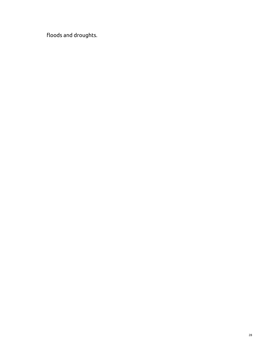floods and droughts.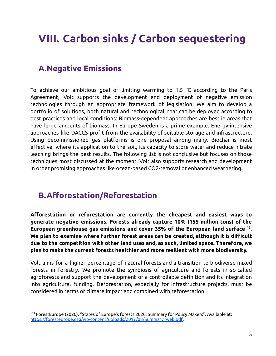### <span id="page-29-0"></span>**VIII. Carbon sinks / Carbon sequestering**

#### <span id="page-29-1"></span>**A.Negative Emissions**

To achieve our ambitious goal of limiting warming to 1.5 °C according to the Paris Agreement, Volt supports the development and deployment of negative emission technologies through an appropriate framework of legislation. We aim to develop a portfolio of solutions, both natural and technological, that can be deployed according to best practices and local conditions: Biomass-dependent approaches are best in areas that have large amounts of biomass. In Europe Sweden is a prime example. Energy-intensive approaches like DACCS profit from the availability of suitable storage and infrastructure. Using decommissioned gas platforms is one proposal among many. Biochar is most effective, where its application to the soil, its capacity to store water and reduce nitrate leaching brings the best results. The following list is not conclusive but focuses on those techniques most discussed at the moment. Volt also supports research and development in other promising approaches like ocean-based CO2-removal or enhanced weathering.

#### <span id="page-29-2"></span>**B.Afforestation/Reforestation**

**Afforestation or reforestation are currently the cheapest and easiest ways to generate negative emissions. Forests already capture 10% (155 million tons) of the European greenhouse gas emissions and cover 35% of the European land surface** 115 . **We plan to examine where further forest areas can be created, although it is difficult due to the competition with other land uses and, as such, limited space. Therefore, we plan to make the current forests healthier and more resilient with more biodiversity.**

Volt aims for a higher percentage of natural forests and a transition to biodiverse mixed forests in forestry. We promote the symbiosis of agriculture and forests in so-called agroforests and support the development of a controllable definition and its integration into agricultural funding. Deforestation, especially for infrastructure projects, must be considered in terms of climate impact and combined with reforestation.

<sup>115</sup> ForestEurope (2020). "States of Europe's forests 2020: Summary for Policy Makers". Available at: [https://foresteurope.org/wp-content/uploads/2017/08/Summary\\_web.pdf.](https://foresteurope.org/wp-content/uploads/2017/08/Summary_web.pdf)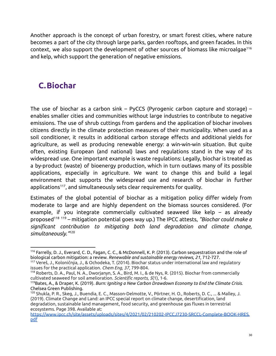Another approach is the concept of urban forestry, or smart forest cities, where nature becomes a part of the city through large parks, garden rooftops, and green facades. In this context, we also support the development of other sources of biomass like microalgae 116 and kelp, which support the generation of negative emissions.

### <span id="page-30-0"></span>**C.Biochar**

The use of biochar as a carbon sink – PyCCS (Pyrogenic carbon capture and storage) – enables smaller cities and communities without large industries to contribute to negative emissions. The use of shrub cuttings from gardens and the application of biochar involves citizens directly in the climate protection measures of their municipality. When used as a soil conditioner, it results in additional carbon storage effects and additional yields for agriculture, as well as producing renewable energy: a win-win-win situation. But quite often, existing European (and national) laws and regulations stand in the way of its widespread use. One important example is waste regulations: Legally, biochar is treated as a by-product (waste) of bioenergy production, which in turn outlaws many of its possible applications, especially in agriculture. We want to change this and build a legal environment that supports the widespread use and research of biochar in further applications 117 , and simultaneously sets clear requirements for quality.

Estimates of the global potential of biochar as a mitigation policy differ widely from moderate to large and are highly dependent on the biomass sources considered. (For example, if you integrate commercially cultivated seaweed like kelp – as already proposed <sup>118</sup> <sup>119</sup> – mitigation potential goes way up.) The IPCC attests, *"Biochar could make a significant contribution to mitigating both land degradation and climate change, simultaneously."* 120

<sup>116</sup> Farrelly, D. J., Everard, C. D., Fagan, C. C., & McDonnell, K. P. (2013). Carbon sequestration and the role of biological carbon mitigation: a review. *Renewable and sustainable energy reviews*, *21*, 712-727.

<sup>117</sup> Vereš, J., Koloničnýa, J., & Ochodeka, T. (2014). Biochar status under international law and regulatory issues for the practical application. *Chem Eng*, *37*, 799-804.

<sup>118</sup> Roberts, D. A., Paul, N. A., Dworjanyn, S. A., Bird, M. I., & de Nys, R. (2015). Biochar from commercially cultivated seaweed for soil amelioration. *Scientific reports*, *5*(1), 1-6.

<sup>119</sup>Bates, A., & Draper, K. (2019). *Burn: Igniting a New Carbon Drawdown Economy to End the Climate Crisis*. Chelsea Green Publishing.

<sup>120</sup> Shukla, P. R., Skeg, J., Buendia, E. C., Masson-Delmotte, V., Pörtner, H. O., Roberts, D. C., ... & Malley, J. (2019). Climate Change and Land: an IPCC special report on climate change, desertification, land degradation, sustainable land management, food security, and greenhouse gas fluxes in terrestrial ecosystems. Page 398. Available at:

[https://www.ipcc.ch/site/assets/uploads/sites/4/2021/02/210202-IPCCJ7230-SRCCL-Complete-BOOK-HRES.](https://www.ipcc.ch/site/assets/uploads/sites/4/2021/02/210202-IPCCJ7230-SRCCL-Complete-BOOK-HRES.pdf) [pdf](https://www.ipcc.ch/site/assets/uploads/sites/4/2021/02/210202-IPCCJ7230-SRCCL-Complete-BOOK-HRES.pdf)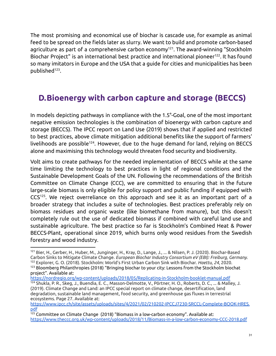The most promising and economical use of biochar is cascade use, for example as animal feed to be spread on the fields later as slurry. We want to build and promote carbon-based agriculture as part of a comprehensive carbon economy 121 . The award-winning "Stockholm Biochar Project" is an international best practice and international pioneer<sup>122</sup>. It has found so many imitators in Europe and the USA that a guide for cities and municipalities has been published 123 .

### <span id="page-31-0"></span>**D.Bioenergy with carbon capture and storage (BECCS)**

In models depicting pathways in compliance with the 1.5°-Goal, one of the most important negative emission technologies is the combination of bioenergy with carbon capture and storage (BECCS). The IPCC report on Land Use (2019) shows that if applied and restricted to best practices, above climate mitigation additional benefits like the support of farmers' livelihoods are possible<sup>124</sup>. However, due to the huge demand for land, relying on BECCS alone and maximising this technology would threaten food security and biodiversity.

Volt aims to create pathways for the needed implementation of BECCS while at the same time limiting the technology to best practices in light of regional conditions and the Sustainable Development Goals of the UN. Following the recommendations of the British Committee on Climate Change (CCC), we are committed to ensuring that in the future large-scale biomass is only eligible for policy support and public funding if equipped with CCS 125 . We reject overreliance on this approach and see it as an important part of a broader strategy that includes a suite of technologies. Best practices preferably rely on biomass residues and organic waste (like biomethane from manure), but this doesn't completely rule out the use of dedicated biomass if combined with careful land use and sustainable agriculture. The best practice so far is Stockholm's Combined Heat & Power BECCS-Plant, operational since 2019, which burns only wood residues from the Swedish forestry and wood industry.

<https://nordregio.org/wp-content/uploads/2018/05/Replicating-in-Stockholm-booklet-manual.pdf>

<sup>123</sup> Bloomberg Philanthropies (2018) "Bringing biochar to your city: Lessons from the Stockholm biochat <sup>122</sup> Explorer, G. O. (2018). Stockholm: World's First Urban Carbon Sink with Biochar. *Haettu*, *24*, 2020. <sup>121</sup> Bier, H., Gerber, H., Huber, M., Junginger, H., Kray, D., Lange, J., ... & Nilsen, P. J. (2020). Biochar-Based Carbon Sinks to Mitigate Climate Change. *European Biochar Industry Consortium eV (EBI): Freiburg, Germany*.

project". Available at:

<sup>124</sup> Shukla, P. R., Skeg, J., Buendia, E. C., Masson-Delmotte, V., Pörtner, H. O., Roberts, D. C., ... & Malley, J. (2019). Climate Change and Land: an IPCC special report on climate change, desertification, land degradation, sustainable land management, food security, and greenhouse gas fluxes in terrestrial ecosystems. Page 27. Available at:

[https://www.ipcc.ch/site/assets/uploads/sites/4/2021/02/210202-IPCCJ7230-SRCCL-Complete-BOOK-HRES.](https://www.ipcc.ch/site/assets/uploads/sites/4/2021/02/210202-IPCCJ7230-SRCCL-Complete-BOOK-HRES.pdf) [pdf](https://www.ipcc.ch/site/assets/uploads/sites/4/2021/02/210202-IPCCJ7230-SRCCL-Complete-BOOK-HRES.pdf)

 $\frac{125}{125}$  Committee on Climate Change (2018) "Biomass in a low-carbon economy". Available at: <https://www.theccc.org.uk/wp-content/uploads/2018/11/Biomass-in-a-low-carbon-economy-CCC-2018.pdf>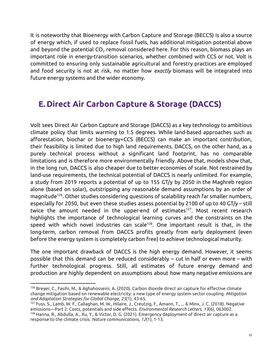It is noteworthy that Bioenergy with Carbon Capture and Storage (BECCS) is also a source of energy which, if used to replace fossil fuels, has additional mitigation potential above and beyond the potential  $CO<sub>2</sub>$  removal considered here. For this reason, biomass plays an important role in energy-transition scenarios, whether combined with CCS or not. Volt is committed to ensuring only sustainable agricultural and forestry practices are employed and food security is not at risk, no matter how *exactly* biomass will be integrated into future energy systems and the wider economy.

#### <span id="page-32-0"></span>**E. Direct Air Carbon Capture & Storage (DACCS)**

Volt sees Direct Air Carbon Capture and Storage (DACCS) as a key technology to ambitious climate policy that limits warming to 1.5 degrees. While land-based approaches such as afforestation, biochar or bioenergy+CCS (BECCS) can make an important contribution, their feasibility is limited due to high land requirements. DACCS, on the other hand, as a purely technical process without a significant land footprint, has no comparable limitations and is therefore more environmentally friendly. Above that, models show that, in the long run, DACCS is also cheaper due to better economies of scale. Not restrained by land-use requirements, the technical potential of DACCS is nearly unlimited. For example, a study from 2019 reports a potential of up to 155 GT/y by 2050 in the Maghreb region alone (based on solar), outstripping any reasonable demand assumptions by an order of magnitude 126 . Other studies considering questions of scalability reach far smaller numbers, especially for 2050, but even these studies assess potential by 2100 of up to 40 GT/y – still twice the amount needed in the upper-end of estimates<sup>127</sup>. Most recent research highlights the importance of technological learning curves and the constraints on the speed with which novel industries can scale 128 . One important result is that, in the long-term, carbon removal from DACCS profits greatly from early deployment (even before the energy system is completely carbon free) to achieve technological maturity.

The one important drawback of DACCS is the high energy demand. However, it seems possible that this demand can be reduced considerably – cut in half or even more – with further technological progress. Still, all estimates of future energy demand and production are highly dependent on assumptions about how many negative emissions are

<sup>126</sup> Breyer, C., Fasihi, M., & Aghahosseini, A. (2020). Carbon dioxide direct air capture for effective climate change mitigation based on renewable electricity: a new type of energy system sector coupling. *Mitigation and Adaptation Strategies for Global Change*, *25*(1), 43-65.

<sup>128</sup> Hanna, R., Abdulla, A., Xu, Y., & Victor, D. G. (2021). Emergency deployment of direct air capture as a response to the climate crisis. *Nature communications*, *12*(1), 1-13. <sup>127</sup> Fuss, S., Lamb, W. F., Callaghan, M. W., Hilaire, J., Creutzig, F., Amann, T., ... & Minx, J. C. (2018). Negative emissions—Part 2: Costs, potentials and side effects. *Environmental Research Letters*, *13*(6), 063002.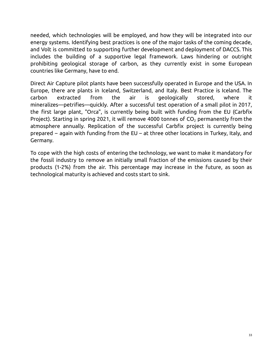needed, which technologies will be employed, and how they will be integrated into our energy systems. Identifying best practices is one of the major tasks of the coming decade, and Volt is committed to supporting further development and deployment of DACCS. This includes the building of a supportive legal framework. Laws hindering or outright prohibiting geological storage of carbon, as they currently exist in some European countries like Germany, have to end.

Direct Air Capture pilot plants have been successfully operated in Europe and the USA. In Europe, there are plants in Iceland, Switzerland, and Italy. Best Practice is Iceland. The carbon extracted from the air is geologically stored, where it mineralizes—petrifies—quickly. After a successful test operation of a small pilot in 2017, the first large plant, "Orca", is currently being built with funding from the EU (Carbfix Project). Starting in spring 2021, it will remove 4000 tonnes of  $CO<sub>2</sub>$  permanently from the atmosphere annually. Replication of the successful Carbfix project is currently being prepared – again with funding from the EU – at three other locations in Turkey, Italy, and Germany.

To cope with the high costs of entering the technology, we want to make it mandatory for the fossil industry to remove an initially small fraction of the emissions caused by their products (1-2%) from the air. This percentage may increase in the future, as soon as technological maturity is achieved and costs start to sink.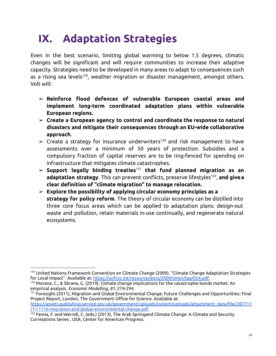# <span id="page-34-0"></span>**IX. Adaptation Strategies**

Even in the best scenario, limiting global warming to below 1.5 degrees, climatic changes will be significant and will require communities to increase their adaptive capacity. Strategies need to be developed in many areas to adapt to consequences such as a rising sea levels<sup>129</sup>, weather migration or disaster management, amongst others. Volt will:

- ➢ **Reinforce flood defences of vulnerable European coastal areas and implement long-term coordinated adaptation plans within vulnerable European regions.**
- ➢ **Create a European agency to control and coordinate the response to natural disasters and mitigate their consequences through an EU-wide collaborative approach**.
- $\triangleright$  Create a strategy for insurance underwriters<sup>130</sup> and risk management to have assessments over a minimum of 50 years of protection. Subsidies and a compulsory fraction of capital reserves are to be ring-fenced for spending on infrastructure that mitigates climate catastrophes.
- ➢ **Support legally binding treaties** <sup>131</sup> **that fund planned migration as an adaptation strategy**. This can prevent conflicts, preserve lifestyles 132 , **and givea clear definition of "climate migration" to manage relocation.**
- ➢ **Explore the possibility of applying circular economy principles as a strategy for policy reform**. The theory of circular economy can be distilled into three core focus areas which can be applied to adaptation plans: design-out waste and pollution, retain materials in-use continually, and regenerate natural ecosystems.

<sup>&</sup>lt;sup>129</sup> United Nations Framework Convention on Climate Change (2009). "Climate Change Adaptation Strategies for Local Impact". Available at: [https://unfccc.int/resource/docs/2009/smsn/igo/054.pdf.](https://unfccc.int/resource/docs/2009/smsn/igo/054.pdf)

<sup>130</sup> Morana, C., & Sbrana, G. (2019). Climate change implications for the catastrophe bonds market: An empirical analysis. *Economic Modelling*, *81*, 274-294.

<sup>131</sup> Foresight (2011), Migration and Global Environmental Change: Future Challenges and Opportunities: Final Project Report, London, The Government Office for Science. Available at:

[https://assets.publishing.service.gov.uk/government/uploads/system/uploads/attachment\\_data/file/287717](https://assets.publishing.service.gov.uk/government/uploads/system/uploads/attachment_data/file/287717/11-1116-migration-and-global-environmental-change.pdf) [/11-1116-migration-and-global-environmental-change.pdf](https://assets.publishing.service.gov.uk/government/uploads/system/uploads/attachment_data/file/287717/11-1116-migration-and-global-environmental-change.pdf).

<sup>132</sup> Femia, F. and Werrell, C. (eds.) (2013), The Arab Springand Climate Change: A Climate and Security Correlations Series , USA, Center for American Progress.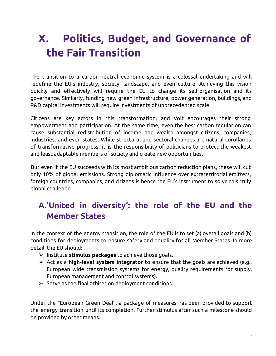# <span id="page-35-0"></span>**X. Politics, Budget, and Governance of the Fair Transition**

The transition to a carbon-neutral economic system is a colossal undertaking and will redefine the EU's industry, society, landscape, and even culture. Achieving this vision quickly and effectively will require the EU to change its self-organisation and its governance. Similarly, funding new green infrastructure, power generation, buildings, and R&D capital investments will require investments of unprecedented scale.

Citizens are key actors in this transformation, and Volt encourages their strong empowerment and participation. At the same time, even the best carbon regulation can cause substantial redistribution of income and wealth amongst citizens, companies, industries, and even states. While structural and sectoral changes are natural corollaries of transformative progress, it is the responsibility of politicians to protect the weakest and least adaptable members of society and create new opportunities.

But even if the EU succeeds with its most ambitious carbon reduction plans, these will cut only 10% of global emissions. Strong diplomatic influence over extraterritorial emitters, foreign countries, companies, and citizens is hence the EU's instrument to solve this truly global challenge.

### <span id="page-35-1"></span>**A.'United in diversity': the role of the EU and the Member States**

In the context of the energy transition, the role of the EU is to set (a) overall goals and (b) conditions for deployments to ensure safety and equality for all Member States. In more detail, the EU should:

- ➢ Institute **stimulus packages** to achieve those goals.
- ➢ Act as a **high-level system integrator** to ensure that the goals are achieved (e.g., European wide transmission systems for energy, quality requirements for supply, European management and control systems).
- $\geq$  Serve as the final arbiter on deployment conditions.

Under the "European Green Deal", a package of measures has been provided to support the energy transition until its completion. Further stimulus after such a milestone should be provided by other means.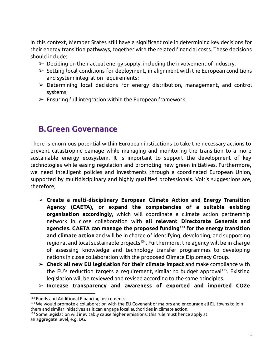In this context, Member States still have a significant role in determining key decisions for their energy transition pathways, together with the related financial costs. These decisions should include:

- $\triangleright$  Deciding on their actual energy supply, including the involvement of industry;
- $\triangleright$  Setting local conditions for deployment, in alignment with the European conditions and system integration requirements;
- $\triangleright$  Determining local decisions for energy distribution, management, and control systems;
- <span id="page-36-0"></span> $\triangleright$  Ensuring full integration within the European framework.

#### **B.Green Governance**

There is enormous potential within European institutions to take the necessary actions to prevent catastrophic damage while managing and monitoring the transition to a more sustainable energy ecosystem. It is important to support the development of key technologies while easing regulation and promoting new green initiatives. Furthermore, we need intelligent policies and investments through a coordinated European Union, supported by multidisciplinary and highly qualified professionals. Volt's suggestions are, therefore,

- ➢ **Create a multi-disciplinary European Climate Action and Energy Transition Agency (CAETA), or expand the competencies of a suitable existing organisation accordingly**, which will coordinate a climate action partnership network in close collaboration with **all relevant Directorate Generals and agencies. CAETA can manage the proposed funding** <sup>133</sup> **for the energy transition and climate action** and will be in charge of identifying, developing, and supporting regional and local sustainable projects<sup>134</sup>. Furthermore, the agency will be in charge of assessing knowledge and technology transfer programmes to developing nations in close collaboration with the proposed Climate Diplomacy Group.
- ➢ **Check all new EU legislation for their climate impact** and make compliance with the EU's reduction targets a requirement, similar to budget approval<sup>135</sup>. Existing legislation will be reviewed and revised according to the same principles.
- ➢ **Increase transparency and awareness of exported and imported CO2e**

<sup>&</sup>lt;sup>133</sup> Funds and Additional Financing Instruments.

<sup>134</sup> We would promote a collaboration with the EU Covenant of majors and encourage all EU towns to join them and similar initiatives as it can engage local authorities in climate action.

<sup>&</sup>lt;sup>135</sup> Some legislation will inevitably cause higher emissions; this rule must hence apply at an aggregate level, e.g. DG.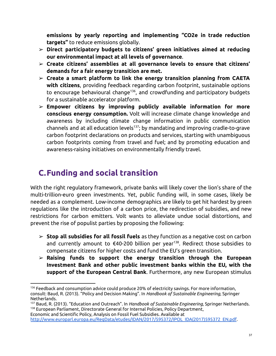**emissions by yearly reporting and implementing "CO2e in trade reduction targets"** to reduce emissions globally.

- ➢ **Direct participatory budgets to citizens' green initiatives aimed at reducing our environmental impact at all levels of governance**.
- ➢ **Create citizens' assemblies at all governance levels to ensure that citizens' demands for a fair energy transition are met.**
- ➢ **Create a smart platform to link the energy transition planning from CAETA with citizens**, providing feedback regarding carbon footprint, sustainable options to encourage behavioural change<sup>136</sup>, and crowdfunding and participatory budgets for a sustainable accelerator platform.
- ➢ **Empower citizens by improving publicly available information for more conscious energy consumption.** Volt will increase climate change knowledge and awareness by including climate change information in public communication channels and at all education levels 137 ; by mandating and improving cradle-to-grave carbon footprint declarations on products and services, starting with unambiguous carbon footprints coming from travel and fuel; and by promoting education and awareness-raising initiatives on environmentally friendly travel.

### <span id="page-37-0"></span>**C.Funding and social transition**

With the right regulatory framework, private banks will likely cover the lion's share of the multi-trillion-euro green investments. Yet, public funding will, in some cases, likely be needed as a complement. Low-income demographics are likely to get hit hardest by green regulations like the introduction of a carbon price, the redirection of subsidies, and new restrictions for carbon emitters. Volt wants to alleviate undue social distortions, and prevent the rise of populist parties by proposing the following:

- ➢ **Stop all subsidies for all fossil fuels** as they function as a negative cost on carbon and currently amount to €40-200 billion per year 138 . Redirect those subsidies to compensate citizens for higher costs and fund the EU's green transition.
- ➢ **Raising funds to support the energy transition through the European Investment Bank and other public investment banks within the EU, with the support of the European Central Bank**. Furthermore, any new European stimulus

<sup>136</sup> Feedback and consumption advice could produce 20% of electricity savings. For more information, consult: Baud, R. (2013). "Policy and Decision Making". In *Handbook of Sustainable Engineering*, Springer Netherlands.

<sup>&</sup>lt;sup>138</sup> European Parliament, Directorate General for Internal Policies, Policy Department, <sup>137</sup> Baud, R. (2013). "Education and Outreach". In *Handbook of Sustainable Engineering*, Springer Netherlands.

Economic and Scientific Policy, Analysis on Fossil Fuel Subsidies. Available at [http://www.europarl.europa.eu/RegData/etudes/IDAN/2017/595372/IPOL\\_IDA\(2017\)595372\\_EN.pdf](http://www.europarl.europa.eu/RegData/etudes/IDAN/2017/595372/IPOL_IDA(2017)595372_EN.pdf).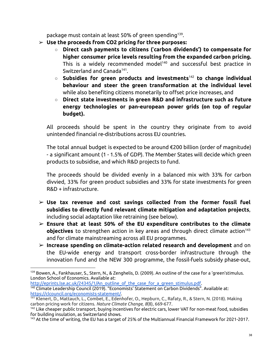package must contain at least 50% of green spending<sup>139</sup>.

- ➢ **Use the proceeds from CO2 pricing for three purposes:**
	- **Direct cash payments to citizens (**'**carbon dividends') to compensate for higher consumer price levels resulting from the expanded carbon pricing.** This is a widely recommended model <sup>140</sup> and successful best practice in Switzerland and Canada<sup>141</sup>.
	- **Subsidies for green products and investments** <sup>142</sup> **to change individual behaviour and steer the green transformation at the individual level** while also benefiting citizens monetarily to offset price increases, and
	- **Direct state investments in green R&D and infrastructure such as future energy technologies or pan-european power grids (on top of regular budget).**

All proceeds should be spent in the country they originate from to avoid unintended financial re-distributions across EU countries.

The total annual budget is expected to be around €200 billion (order of magnitude) - a significant amount (1 - 1.5% of GDP). The Member States will decide which green products to subsidise, and which R&D projects to fund.

The proceeds should be divided evenly in a balanced mix with 33% for carbon divvied, 33% for green product subsidies and 33% for state investments for green R&D + infrastructure.

- ➢ **Use tax revenue and cost savings collected from the former fossil fuel subsidies to directly fund relevant climate mitigation and adaptation projects**, including social adaptation like retraining (see below).
- ➢ **Ensure that at least 50% of the EU expenditure contributes to the climate objectives** to strengthen action in key areas and through direct climate action 143 and for climate mainstreaming across all EU programmes.
- ➢ **Increase spending on climate-action related research and development** and on the EU-wide energy and transport cross-border infrastructure through the innovation fund and the NEW 300 programme, the fossil-fuels subsidy phase-out,

[http://eprints.lse.ac.uk/24345/1/An\\_outline\\_of\\_the\\_case\\_for\\_a\\_green\\_stimulus.pdf](http://eprints.lse.ac.uk/24345/1/An_outline_of_the_case_for_a_green_stimulus.pdf).

<sup>139</sup> Bowen, A., Fankhauser, S., Stern, N., & Zenghelis, D. (2009). An outline of the case for a 'green'stimulus. London School of Economics. Available at:

<sup>140</sup> Climate Leadership Council (2019). "Economists' Statement on Carbon Dividends". Available at: <https://clcouncil.org/economists-statement/>.

<sup>141</sup> Klenert, D., Mattauch, L., Combet, E., Edenhofer, O., Hepburn, C., Rafaty, R., & Stern, N. (2018). Making carbon pricing work for citizens. *Nature Climate Change*, *8*(8), 669-677.

<sup>&</sup>lt;sup>142</sup> Like cheaper public transport, buying incentives for electric cars, lower VAT for non-meat food, subsidies for building insulation, as Switzerland shows.

<sup>143</sup> At the time of writing, the EU has a target of 25% of the Multiannual Financial Framework for 2021-2017.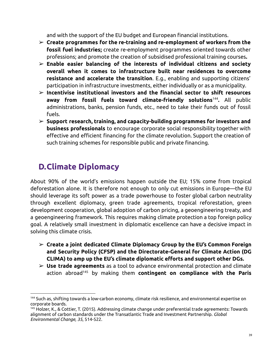and with the support of the EU budget and European financial institutions.

- ➢ **Create programmes for the re-training and re-employment of workers from the fossil fuel industries;** create re-employment programmes oriented towards other professions; and promote the creation of subsidised professional training courses**.**
- ➢ **Enable easier balancing of the interests of individual citizens and society overall when it comes to infrastructure built near residences to overcome resistance and accelerate the transition**. E.g., enabling and supporting citizens' participation in infrastructure investments, either individually or as a municipality.
- ➢ **Incentivise institutional investors and the financial sector to shift resources away from fossil fuels toward climate-friendly solutions** 144 **.** All public administrations, banks, pension funds, etc., need to take their funds out of fossil fuels.
- ➢ **Support research, training, and capacity-building programmes for investors and business professionals** to encourage corporate social responsibility together with effective and efficient financing for the climate revolution. Support the creation of such training schemes for responsible public and private financing.

### <span id="page-39-0"></span>**D.Climate Diplomacy**

About 90% of the world's emissions happen outside the EU; 15% come from tropical deforestation alone. It is therefore not enough to only cut emissions in Europe—the EU should leverage its soft power as a trade powerhouse to foster global carbon neutrality through excellent diplomacy, green trade agreements, tropical reforestation, green development cooperation, global adoption of carbon pricing, a geoengineering treaty, and a geoengineering framework. This requires making climate protection a top foreign policy goal. A relatively small investment in diplomatic excellence can have a decisive impact in solving this climate crisis.

- ➢ **Create a joint dedicated Climate Diplomacy Group by the EU's Common Foreign and Security Policy (CFSP) and the Directorate-General for Climate Action (DG CLIMA) to amp up the EU's climate diplomatic efforts and support other DGs.**
- ➢ **Use trade agreements** as a tool to advance environmental protection and climate action abroad <sup>145</sup> by making them **contingent on compliance with the Paris**

<sup>&</sup>lt;sup>144</sup> Such as, shifting towards a low-carbon economy, climate risk resilience, and environmental expertise on corporate boards.

<sup>145</sup> Holzer, K., & Cottier, T. (2015). Addressing climate change under preferential trade agreements: Towards alignment of carbon standards under the Transatlantic Trade and Investment Partnership. *Global Environmental Change*, *35*, 514-522.